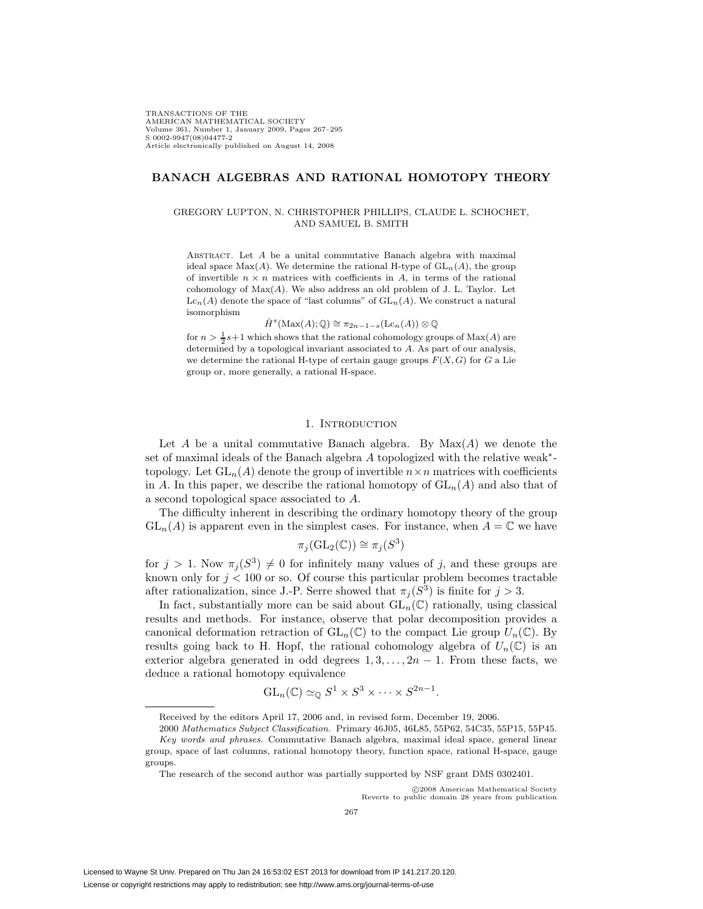TRANSACTIONS OF THE AMERICAN MATHEMATICAL SOCIETY Volume 361, Number 1, January 2009, Pages 267–295 S 0002-9947(08)04477-2 Article electronically published on August 14, 2008

# **BANACH ALGEBRAS AND RATIONAL HOMOTOPY THEORY**

## GREGORY LUPTON, N. CHRISTOPHER PHILLIPS, CLAUDE L. SCHOCHET, AND SAMUEL B. SMITH

ABSTRACT. Let  $A$  be a unital commutative Banach algebra with maximal ideal space  $Max(A)$ . We determine the rational H-type of  $GL_n(A)$ , the group of invertible  $n \times n$  matrices with coefficients in A, in terms of the rational cohomology of  $Max(A)$ . We also address an old problem of J. L. Taylor. Let  $\mathrm{Lc}_n(A)$  denote the space of "last columns" of  $\mathrm{GL}_n(A)$ . We construct a natural isomorphism

 $\check{H}^s(\mathrm{Max}(A); \mathbb{Q}) \cong \pi_{2n-1-s}(\mathrm{Lc}_n(A)) \otimes \mathbb{Q}$ 

for  $n > \frac{1}{2}s + 1$  which shows that the rational cohomology groups of  $Max(A)$  are determined by a topological invariant associated to A. As part of our analysis, we determine the rational H-type of certain gauge groups  $F(X, G)$  for G a Lie group or, more generally, a rational H-space.

#### 1. INTRODUCTION

Let A be a unital commutative Banach algebra. By  $Max(A)$  we denote the set of maximal ideals of the Banach algebra A topologized with the relative weak∗ topology. Let  $GL_n(A)$  denote the group of invertible  $n \times n$  matrices with coefficients in A. In this paper, we describe the rational homotopy of  $GL_n(A)$  and also that of a second topological space associated to A.

The difficulty inherent in describing the ordinary homotopy theory of the group  $GL_n(A)$  is apparent even in the simplest cases. For instance, when  $A = \mathbb{C}$  we have

$$
\pi_j(\mathrm{GL}_2(\mathbb{C})) \cong \pi_j(S^3)
$$

for  $j > 1$ . Now  $\pi_j(S^3) \neq 0$  for infinitely many values of j, and these groups are known only for  $j < 100$  or so. Of course this particular problem becomes tractable after rationalization, since J.-P. Serre showed that  $\pi_j(S^3)$  is finite for  $j > 3$ .

In fact, substantially more can be said about  $GL_n(\mathbb{C})$  rationally, using classical results and methods. For instance, observe that polar decomposition provides a canonical deformation retraction of  $GL_n(\mathbb{C})$  to the compact Lie group  $U_n(\mathbb{C})$ . By results going back to H. Hopf, the rational cohomology algebra of  $U_n(\mathbb{C})$  is an exterior algebra generated in odd degrees  $1, 3, \ldots, 2n - 1$ . From these facts, we deduce a rational homotopy equivalence

$$
GL_n(\mathbb{C}) \simeq_{\mathbb{Q}} S^1 \times S^3 \times \cdots \times S^{2n-1}.
$$

c 2008 American Mathematical Society Reverts to public domain 28 years from publication

Received by the editors April 17, 2006 and, in revised form, December 19, 2006.

<sup>2000</sup> Mathematics Subject Classification. Primary 46J05, 46L85, 55P62, 54C35, 55P15, 55P45. Key words and phrases. Commutative Banach algebra, maximal ideal space, general linear group, space of last columns, rational homotopy theory, function space, rational H-space, gauge groups.

The research of the second author was partially supported by NSF grant DMS 0302401.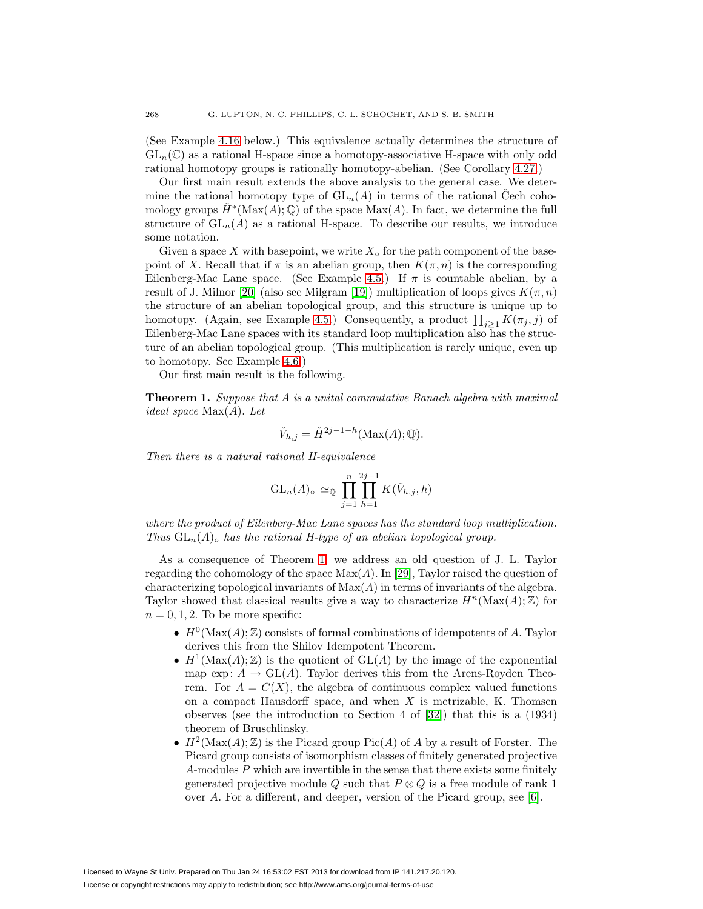(See Example [4.16](#page-15-0) below.) This equivalence actually determines the structure of  $GL_n(\mathbb{C})$  as a rational H-space since a homotopy-associative H-space with only odd rational homotopy groups is rationally homotopy-abelian. (See Corollary [4.27.](#page-19-0))

Our first main result extends the above analysis to the general case. We determine the rational homotopy type of  $GL_n(A)$  in terms of the rational Cech cohomology groups  $\check{H}^*(\text{Max}(A); \mathbb{Q})$  of the space  $\text{Max}(A)$ . In fact, we determine the full structure of  $GL_n(A)$  as a rational H-space. To describe our results, we introduce some notation.

Given a space X with basepoint, we write  $X_{\circ}$  for the path component of the basepoint of X. Recall that if  $\pi$  is an abelian group, then  $K(\pi, n)$  is the corresponding Eilenberg-Mac Lane space. (See Example [4.5.](#page-11-0)) If  $\pi$  is countable abelian, by a result of J. Milnor [\[20\]](#page-27-0) (also see Milgram [\[19\]](#page-27-1)) multiplication of loops gives  $K(\pi,n)$ the structure of an abelian topological group, and this structure is unique up to homotopy. (Again, see Example [4.5.](#page-11-0)) Consequently, a product  $\prod_{j\geq 1} K(\pi_j, j)$  of Eilenberg-Mac Lane spaces with its standard loop multiplication also has the structure of an abelian topological group. (This multiplication is rarely unique, even up to homotopy. See Example [4.6.](#page-12-0))

Our first main result is the following.

<span id="page-1-0"></span>**Theorem 1.** Suppose that A is a unital commutative Banach algebra with maximal ideal space Max(A). Let

$$
\check{V}_{h,j} = \check{H}^{2j-1-h}(\text{Max}(A); \mathbb{Q}).
$$

Then there is a natural rational H-equivalence

$$
\operatorname{GL}_n(A)_{\circ} \simeq_{\mathbb{Q}} \prod_{j=1}^n \prod_{h=1}^{2j-1} K(\check{V}_{h,j}, h)
$$

where the product of Eilenberg-Mac Lane spaces has the standard loop multiplication. Thus  $GL_n(A)$  has the rational H-type of an abelian topological group.

As a consequence of Theorem [1,](#page-1-0) we address an old question of J. L. Taylor regarding the cohomology of the space  $Max(A)$ . In [\[29\]](#page-28-0), Taylor raised the question of characterizing topological invariants of  $Max(A)$  in terms of invariants of the algebra. Taylor showed that classical results give a way to characterize  $H^n(\text{Max}(A); \mathbb{Z})$  for  $n = 0, 1, 2$ . To be more specific:

- $H^0(\text{Max}(A); \mathbb{Z})$  consists of formal combinations of idempotents of A. Taylor derives this from the Shilov Idempotent Theorem.
- $H^1(\text{Max}(A); \mathbb{Z})$  is the quotient of  $GL(A)$  by the image of the exponential map exp:  $A \to GL(A)$ . Taylor derives this from the Arens-Royden Theorem. For  $A = C(X)$ , the algebra of continuous complex valued functions on a compact Hausdorff space, and when  $X$  is metrizable, K. Thomsen observes (see the introduction to Section 4 of [\[32\]](#page-28-1)) that this is a (1934) theorem of Bruschlinsky.
- $H^2(\text{Max}(A); \mathbb{Z})$  is the Picard group  $Pic(A)$  of A by a result of Forster. The Picard group consists of isomorphism classes of finitely generated projective  $A$ -modules  $P$  which are invertible in the sense that there exists some finitely generated projective module Q such that  $P \otimes Q$  is a free module of rank 1 over A. For a different, and deeper, version of the Picard group, see [\[6\]](#page-27-2).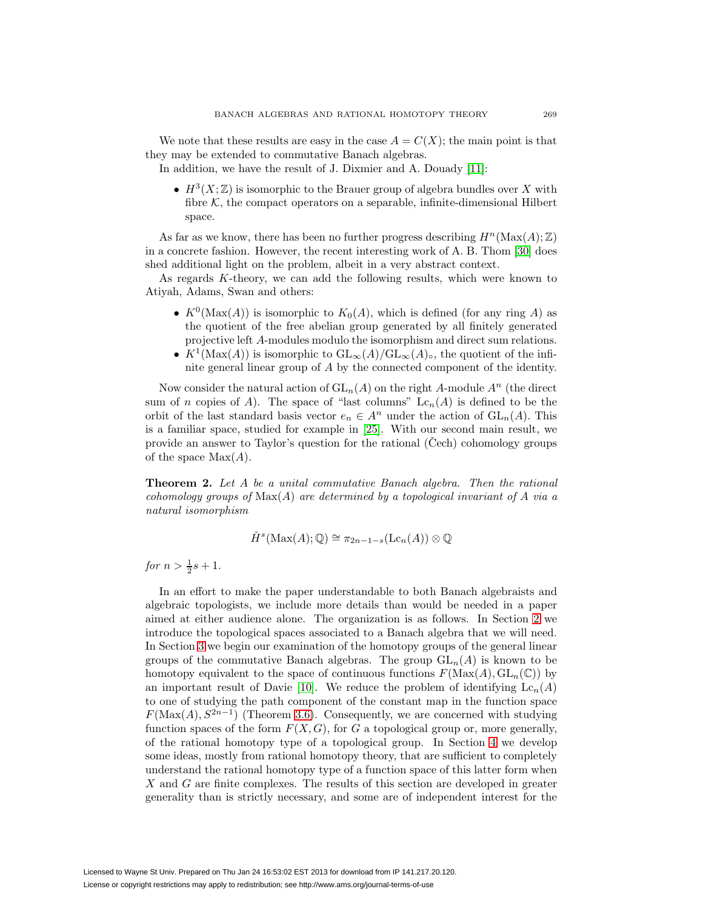We note that these results are easy in the case  $A = C(X)$ ; the main point is that they may be extended to commutative Banach algebras.

In addition, we have the result of J. Dixmier and A. Douady [\[11\]](#page-27-3):

•  $H^3(X;\mathbb{Z})$  is isomorphic to the Brauer group of algebra bundles over X with fibre  $K$ , the compact operators on a separable, infinite-dimensional Hilbert space.

As far as we know, there has been no further progress describing  $H<sup>n</sup>(\text{Max}(A); \mathbb{Z})$ in a concrete fashion. However, the recent interesting work of A. B. Thom [\[30\]](#page-28-2) does shed additional light on the problem, albeit in a very abstract context.

As regards K-theory, we can add the following results, which were known to Atiyah, Adams, Swan and others:

- $K^0(\text{Max}(A))$  is isomorphic to  $K_0(A)$ , which is defined (for any ring A) as the quotient of the free abelian group generated by all finitely generated projective left A-modules modulo the isomorphism and direct sum relations.
- $K^1(\text{Max}(A))$  is isomorphic to  $GL_{\infty}(A)/GL_{\infty}(A)_{\circ}$ , the quotient of the infinite general linear group of A by the connected component of the identity.

Now consider the natural action of  $GL_n(A)$  on the right A-module  $A^n$  (the direct sum of n copies of A). The space of "last columns"  $Lc_n(A)$  is defined to be the orbit of the last standard basis vector  $e_n \in A^n$  under the action of  $GL_n(A)$ . This is a familiar space, studied for example in [\[25\]](#page-27-4). With our second main result, we provide an answer to Taylor's question for the rational (Cech) cohomology groups of the space  $Max(A)$ .

<span id="page-2-0"></span>**Theorem 2.** Let A be a unital commutative Banach algebra. Then the rational cohomology groups of  $\text{Max}(A)$  are determined by a topological invariant of A via a natural isomorphism

$$
\check{H}^s(\operatorname{Max}(A); \mathbb{Q}) \cong \pi_{2n-1-s}(\operatorname{Lc}_n(A)) \otimes \mathbb{Q}
$$

for  $n > \frac{1}{2}s + 1$ .

In an effort to make the paper understandable to both Banach algebraists and algebraic topologists, we include more details than would be needed in a paper aimed at either audience alone. The organization is as follows. In Section [2](#page-3-0) we introduce the topological spaces associated to a Banach algebra that we will need. In Section [3](#page-8-0) we begin our examination of the homotopy groups of the general linear groups of the commutative Banach algebras. The group  $GL_n(A)$  is known to be homotopy equivalent to the space of continuous functions  $F(\text{Max}(A), GL_n(\mathbb{C}))$  by an important result of Davie [\[10\]](#page-27-5). We reduce the problem of identifying  $Lc_n(A)$ to one of studying the path component of the constant map in the function space  $F(\text{Max}(A), S^{2n-1})$  (Theorem [3.6\)](#page-10-0). Consequently, we are concerned with studying function spaces of the form  $F(X, G)$ , for G a topological group or, more generally, of the rational homotopy type of a topological group. In Section [4](#page-10-1) we develop some ideas, mostly from rational homotopy theory, that are sufficient to completely understand the rational homotopy type of a function space of this latter form when X and G are finite complexes. The results of this section are developed in greater generality than is strictly necessary, and some are of independent interest for the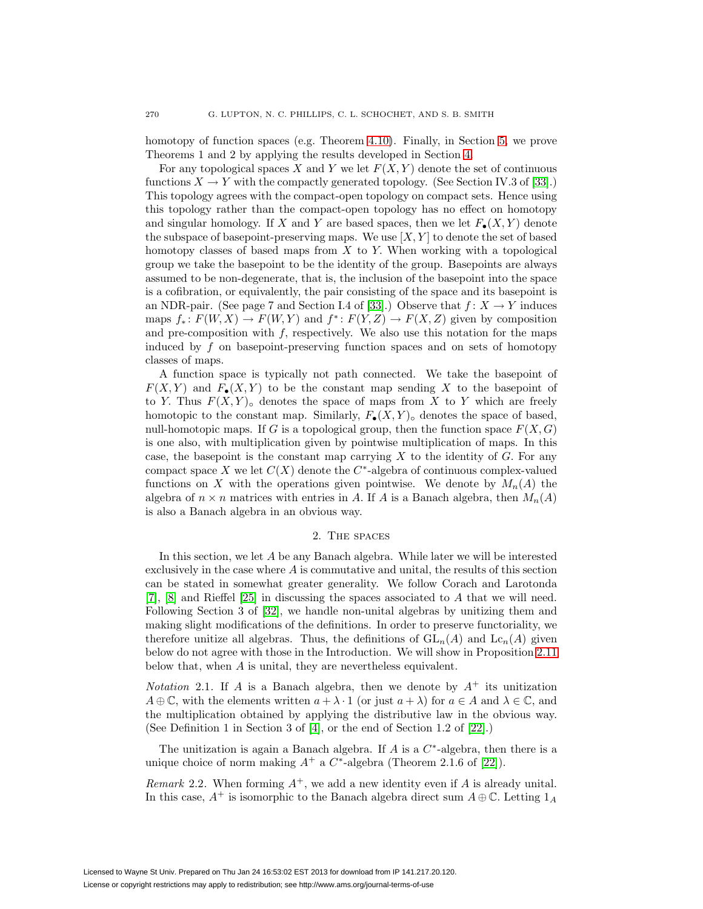homotopy of function spaces (e.g. Theorem [4.10\)](#page-13-0). Finally, in Section [5,](#page-19-1) we prove Theorems 1 and 2 by applying the results developed in Section [4.](#page-10-1)

For any topological spaces X and Y we let  $F(X, Y)$  denote the set of continuous functions  $X \to Y$  with the compactly generated topology. (See Section IV.3 of [\[33\]](#page-28-3).) This topology agrees with the compact-open topology on compact sets. Hence using this topology rather than the compact-open topology has no effect on homotopy and singular homology. If X and Y are based spaces, then we let  $F_{\bullet}(X, Y)$  denote the subspace of basepoint-preserving maps. We use  $[X, Y]$  to denote the set of based homotopy classes of based maps from  $X$  to  $Y$ . When working with a topological group we take the basepoint to be the identity of the group. Basepoints are always assumed to be non-degenerate, that is, the inclusion of the basepoint into the space is a cofibration, or equivalently, the pair consisting of the space and its basepoint is an NDR-pair. (See page 7 and Section I.4 of [\[33\]](#page-28-3).) Observe that  $f: X \to Y$  induces maps  $f_* : F(W, X) \to F(W, Y)$  and  $f^* : F(Y, Z) \to F(X, Z)$  given by composition and pre-composition with  $f$ , respectively. We also use this notation for the maps induced by f on basepoint-preserving function spaces and on sets of homotopy classes of maps.

A function space is typically not path connected. We take the basepoint of  $F(X, Y)$  and  $F_{\bullet}(X, Y)$  to be the constant map sending X to the basepoint of to Y. Thus  $F(X, Y)$  denotes the space of maps from X to Y which are freely homotopic to the constant map. Similarly,  $F_{\bullet}(X,Y)_{\circ}$  denotes the space of based, null-homotopic maps. If G is a topological group, then the function space  $F(X, G)$ is one also, with multiplication given by pointwise multiplication of maps. In this case, the basepoint is the constant map carrying  $X$  to the identity of  $G$ . For any compact space X we let  $C(X)$  denote the  $C^*$ -algebra of continuous complex-valued functions on X with the operations given pointwise. We denote by  $M_n(A)$  the algebra of  $n \times n$  matrices with entries in A. If A is a Banach algebra, then  $M_n(A)$ is also a Banach algebra in an obvious way.

## 2. The spaces

<span id="page-3-0"></span>In this section, we let A be any Banach algebra. While later we will be interested exclusively in the case where  $A$  is commutative and unital, the results of this section can be stated in somewhat greater generality. We follow Corach and Larotonda [\[7\]](#page-27-6), [\[8\]](#page-27-7) and Rieffel [\[25\]](#page-27-4) in discussing the spaces associated to A that we will need. Following Section 3 of [\[32\]](#page-28-1), we handle non-unital algebras by unitizing them and making slight modifications of the definitions. In order to preserve functoriality, we therefore unitize all algebras. Thus, the definitions of  $GL_n(A)$  and  $Lc_n(A)$  given below do not agree with those in the Introduction. We will show in Proposition [2.11](#page-8-1) below that, when A is unital, they are nevertheless equivalent.

<span id="page-3-1"></span>*Notation* 2.1. If A is a Banach algebra, then we denote by  $A^+$  its unitization  $A \oplus \mathbb{C}$ , with the elements written  $a + \lambda \cdot 1$  (or just  $a + \lambda$ ) for  $a \in A$  and  $\lambda \in \mathbb{C}$ , and the multiplication obtained by applying the distributive law in the obvious way. (See Definition 1 in Section 3 of [\[4\]](#page-27-8), or the end of Section 1.2 of [\[22\]](#page-27-9).)

<span id="page-3-2"></span>The unitization is again a Banach algebra. If A is a  $C^*$ -algebra, then there is a unique choice of norm making  $A^+$  a  $C^*$ -algebra (Theorem 2.1.6 of [\[22\]](#page-27-9)).

*Remark* 2.2. When forming  $A^+$ , we add a new identity even if A is already unital. In this case,  $A^+$  is isomorphic to the Banach algebra direct sum  $A \oplus \mathbb{C}$ . Letting  $1_A$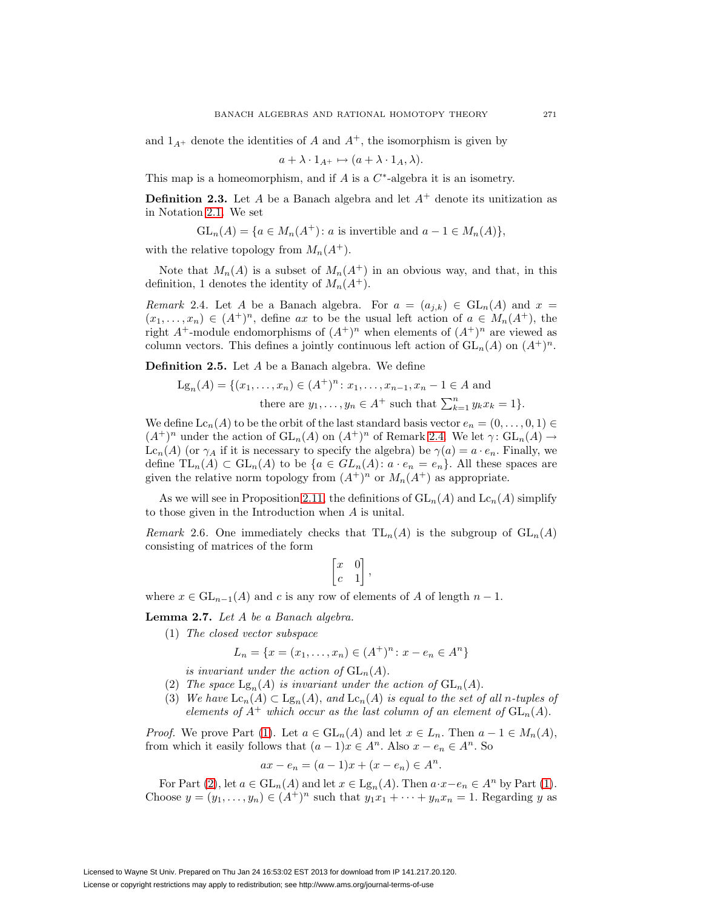and  $1_{A^+}$  denote the identities of A and  $A^+$ , the isomorphism is given by

$$
a + \lambda \cdot 1_{A^+} \mapsto (a + \lambda \cdot 1_A, \lambda).
$$

This map is a homeomorphism, and if A is a  $C^*$ -algebra it is an isometry.

**Definition 2.3.** Let A be a Banach algebra and let  $A^+$  denote its unitization as in Notation [2.1.](#page-3-1) We set

 $GL_n(A) = \{a \in M_n(A^+) : a \text{ is invertible and } a-1 \in M_n(A)\},\$ 

with the relative topology from  $M_n(A^+)$ .

<span id="page-4-0"></span>Note that  $M_n(A)$  is a subset of  $M_n(A^+)$  in an obvious way, and that, in this definition, 1 denotes the identity of  $M_n(A^+)$ .

Remark 2.4. Let A be a Banach algebra. For  $a = (a_{i,k}) \in GL_n(A)$  and  $x =$  $(x_1,...,x_n) \in (A^+)^n$ , define ax to be the usual left action of  $a \in M_n(A^+)$ , the right  $A^+$ -module endomorphisms of  $(A^+)^n$  when elements of  $(A^+)^n$  are viewed as column vectors. This defines a jointly continuous left action of  $GL_n(A)$  on  $(A^+)^n$ .

<span id="page-4-5"></span>**Definition 2.5.** Let A be a Banach algebra. We define

$$
Lg_n(A) = \{(x_1, \dots, x_n) \in (A^+)^n : x_1, \dots, x_{n-1}, x_n - 1 \in A \text{ and}
$$
  
there are  $y_1, \dots, y_n \in A^+$  such that  $\sum_{k=1}^n y_k x_k = 1\}.$ 

We define  $\text{Lc}_n(A)$  to be the orbit of the last standard basis vector  $e_n = (0, \ldots, 0, 1) \in$  $(A^+)^n$  under the action of  $\mathrm{GL}_n(A)$  on  $(A^+)^n$  of Remark [2.4.](#page-4-0) We let  $\gamma: \mathrm{GL}_n(A) \to$  $\text{Lc}_n(A)$  (or  $\gamma_A$  if it is necessary to specify the algebra) be  $\gamma(a) = a \cdot e_n$ . Finally, we define  $TL_n(A) \subset GL_n(A)$  to be  $\{a \in GL_n(A) : a \cdot e_n = e_n\}$ . All these spaces are given the relative norm topology from  $(A^+)^n$  or  $M_n(A^+)$  as appropriate.

<span id="page-4-6"></span>As we will see in Proposition [2.11,](#page-8-1) the definitions of  $GL_n(A)$  and  $Lc_n(A)$  simplify to those given in the Introduction when A is unital.

Remark 2.6. One immediately checks that  $TL_n(A)$  is the subgroup of  $GL_n(A)$ consisting of matrices of the form

$$
\begin{bmatrix} x & 0 \\ c & 1 \end{bmatrix},
$$

<span id="page-4-4"></span>where  $x \in GL_{n-1}(A)$  and c is any row of elements of A of length  $n-1$ .

<span id="page-4-2"></span><span id="page-4-1"></span>**Lemma 2.7.** Let A be a Banach algebra.

(1) The closed vector subspace

$$
L_n = \{x = (x_1, \dots, x_n) \in (A^+)^n : x - e_n \in A^n\}
$$

is invariant under the action of  $GL_n(A)$ .

- (2) The space  $\text{Lg}_n(A)$  is invariant under the action of  $\text{GL}_n(A)$ .
- (3) We have  $\text{Lc}_n(A) \subset \text{Lg}_n(A)$ , and  $\text{Lc}_n(A)$  is equal to the set of all n-tuples of elements of  $A^+$  which occur as the last column of an element of  $GL_n(A)$ .

<span id="page-4-3"></span>*Proof.* We prove Part [\(1\)](#page-4-1). Let  $a \in GL_n(A)$  and let  $x \in L_n$ . Then  $a - 1 \in M_n(A)$ , from which it easily follows that  $(a-1)x \in A^n$ . Also  $x - e_n \in A^n$ . So

$$
ax - e_n = (a - 1)x + (x - e_n) \in A^n.
$$

For Part [\(2\)](#page-4-2), let  $a \in GL_n(A)$  and let  $x \in \mathrm{Lg}_n(A)$ . Then  $a \cdot x - e_n \in A^n$  by Part [\(1\)](#page-4-1). Choose  $y = (y_1, \ldots, y_n) \in (A^+)^n$  such that  $y_1x_1 + \cdots + y_nx_n = 1$ . Regarding y as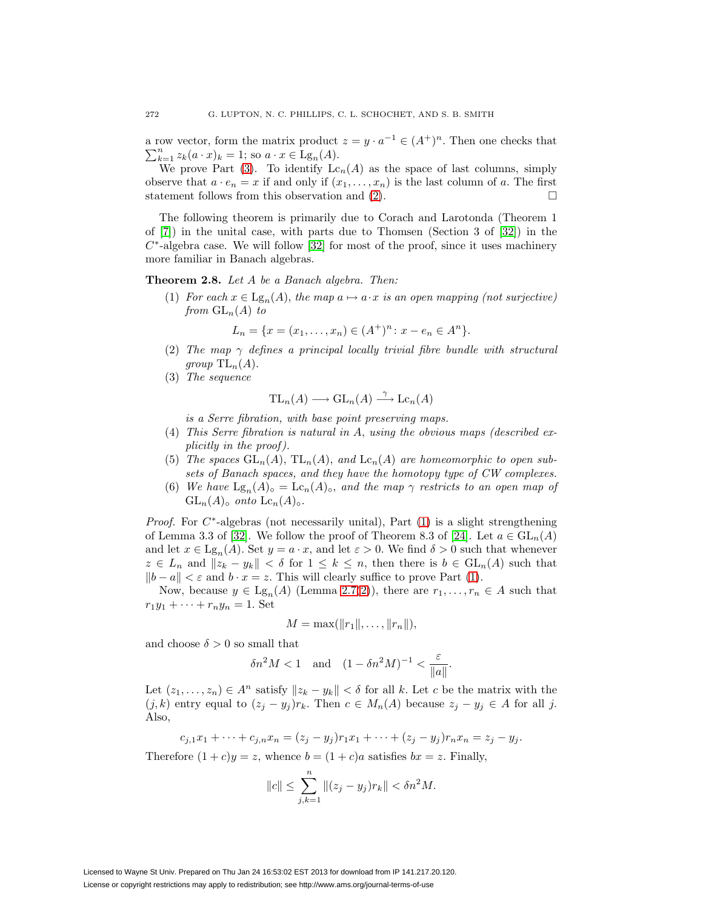a row vector, form the matrix product  $z = y \cdot a^{-1} \in (A^+)^n$ . Then one checks that  $\sum_{i=1}^n z_{i}(a \cdot x)_i = 1$ ; so  $a \cdot x \in \text{Lg}_n(A)$ .  $\sum_{k=1}^{n} z_k(a \cdot x)_k = 1$ ; so  $a \cdot x \in \text{Lg}_n(A)$ .

We prove Part [\(3\)](#page-4-3). To identify  $Lc_n(A)$  as the space of last columns, simply observe that  $a \cdot e_n = x$  if and only if  $(x_1, \ldots, x_n)$  is the last column of a. The first statement follows from this observation and  $(2)$ .

The following theorem is primarily due to Corach and Larotonda (Theorem 1 of [\[7\]](#page-27-6)) in the unital case, with parts due to Thomsen (Section 3 of [\[32\]](#page-28-1)) in the  $C^*$ -algebra case. We will follow [\[32\]](#page-28-1) for most of the proof, since it uses machinery more familiar in Banach algebras.

<span id="page-5-6"></span><span id="page-5-1"></span><span id="page-5-0"></span>**Theorem 2.8.** Let A be a Banach algebra. Then:

(1) For each  $x \in \text{Lg}_n(A)$ , the map  $a \mapsto a \cdot x$  is an open mapping (not surjective) from  $GL_n(A)$  to

$$
L_n = \{x = (x_1, \dots, x_n) \in (A^+)^n : x - e_n \in A^n\}.
$$

- <span id="page-5-2"></span>(2) The map  $\gamma$  defines a principal locally trivial fibre bundle with structural group  $\mathrm{TL}_n(A)$ .
- (3) The sequence

$$
TL_n(A) \longrightarrow GL_n(A) \stackrel{\gamma}{\longrightarrow} Lc_n(A)
$$

is a Serre fibration, with base point preserving maps.

- <span id="page-5-5"></span><span id="page-5-4"></span>(4) This Serre fibration is natural in A, using the obvious maps (described explicitly in the proof ).
- (5) The spaces  $GL_n(A)$ ,  $TL_n(A)$ , and  $Lc_n(A)$  are homeomorphic to open subsets of Banach spaces, and they have the homotopy type of CW complexes.
- (6) We have  $\text{Lg}_n(A)_{\text{o}} = \text{Lc}_n(A)_{\text{o}}$ , and the map  $\gamma$  restricts to an open map of  $GL_n(A)_{\circ}$  onto  $Lc_n(A)_{\circ}$ .

<span id="page-5-3"></span>*Proof.* For  $C^*$ -algebras (not necessarily unital), Part [\(1\)](#page-5-0) is a slight strengthening of Lemma 3.3 of [\[32\]](#page-28-1). We follow the proof of Theorem 8.3 of [\[24\]](#page-27-10). Let  $a \in GL_n(A)$ and let  $x \in \text{Lg}_n(A)$ . Set  $y = a \cdot x$ , and let  $\varepsilon > 0$ . We find  $\delta > 0$  such that whenever  $z \in L_n$  and  $||z_k - y_k|| < \delta$  for  $1 \leq k \leq n$ , then there is  $b \in GL_n(A)$  such that  $||b - a|| < \varepsilon$  and  $b \cdot x = z$ . This will clearly suffice to prove Part [\(1\)](#page-5-0).

Now, because  $y \in \text{Lg}_n(A)$  (Lemma [2.7](#page-4-4)[\(2\)](#page-4-2)), there are  $r_1, \ldots, r_n \in A$  such that  $r_1y_1 + \cdots + r_ny_n = 1.$  Set

$$
M = \max(||r_1||, \ldots, ||r_n||),
$$

and choose  $\delta > 0$  so small that

$$
\delta n^2 M < 1 \quad \text{and} \quad (1 - \delta n^2 M)^{-1} < \frac{\varepsilon}{\|a\|}.
$$

Let  $(z_1,...,z_n) \in A^n$  satisfy  $||z_k - y_k|| < \delta$  for all k. Let c be the matrix with the  $(j, k)$  entry equal to  $(z_j - y_j)r_k$ . Then  $c \in M_n(A)$  because  $z_j - y_j \in A$  for all j. Also,

$$
c_{j,1}x_1 + \cdots + c_{j,n}x_n = (z_j - y_j)r_1x_1 + \cdots + (z_j - y_j)r_nx_n = z_j - y_j.
$$

Therefore  $(1+c)y = z$ , whence  $b = (1+c)a$  satisfies  $bx = z$ . Finally,

$$
||c|| \le \sum_{j,k=1}^n ||(z_j - y_j)r_k|| < \delta n^2 M.
$$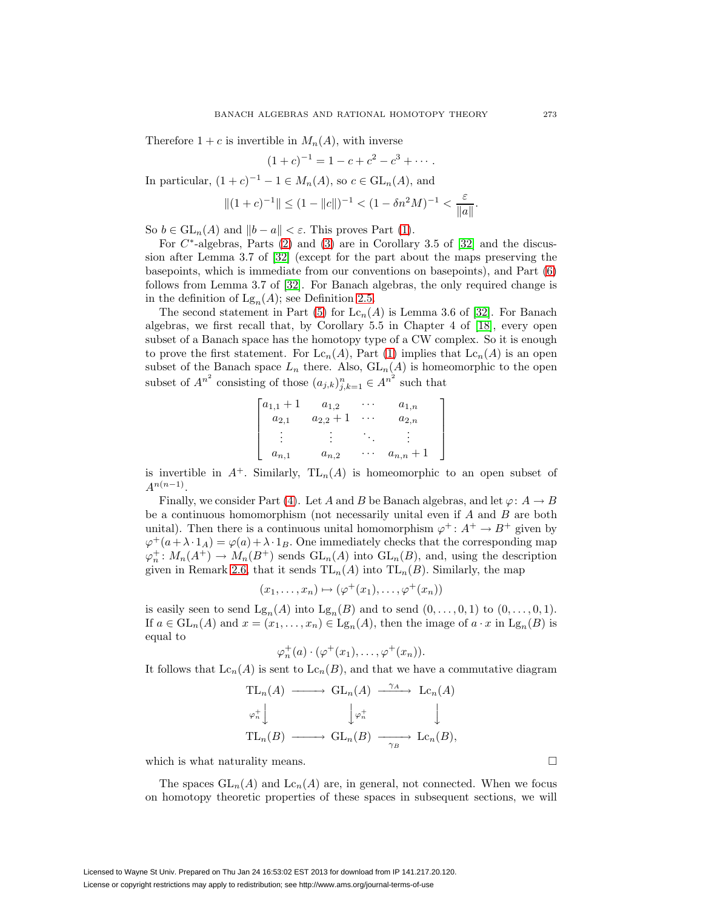Therefore  $1+c$  is invertible in  $M_n(A)$ , with inverse

$$
(1+c)^{-1} = 1 - c + c^2 - c^3 + \cdots.
$$

In particular,  $(1 + c)^{-1} - 1 \in M_n(A)$ , so  $c \in GL_n(A)$ , and

$$
||(1+c)^{-1}|| \le (1-||c||)^{-1} < (1-\delta n^2M)^{-1} < \frac{\varepsilon}{||a||}.
$$

So  $b \in GL_n(A)$  and  $||b - a|| < \varepsilon$ . This proves Part [\(1\)](#page-5-0).

For  $C^*$ -algebras, Parts [\(2\)](#page-5-1) and [\(3\)](#page-5-2) are in Corollary 3.5 of [\[32\]](#page-28-1) and the discussion after Lemma 3.7 of [\[32\]](#page-28-1) (except for the part about the maps preserving the basepoints, which is immediate from our conventions on basepoints), and Part [\(6\)](#page-5-3) follows from Lemma 3.7 of [\[32\]](#page-28-1). For Banach algebras, the only required change is in the definition of  $\mathrm{Lg}_n(A)$ ; see Definition [2.5.](#page-4-5)

The second statement in Part [\(5\)](#page-5-4) for  $\text{Lc}_n(A)$  is Lemma 3.6 of [\[32\]](#page-28-1). For Banach algebras, we first recall that, by Corollary 5.5 in Chapter 4 of [\[18\]](#page-27-11), every open subset of a Banach space has the homotopy type of a CW complex. So it is enough to prove the first statement. For  $\text{Lc}_n(A)$ , Part [\(1\)](#page-5-0) implies that  $\text{Lc}_n(A)$  is an open subset of the Banach space  $L_n$  there. Also,  $GL_n(A)$  is homeomorphic to the open subset of  $A^{n^2}$  consisting of those  $(a_{j,k})_{j,k=1}^n \in A^{n^2}$  such that

$$
\begin{bmatrix} a_{1,1} + 1 & a_{1,2} & \cdots & a_{1,n} \\ a_{2,1} & a_{2,2} + 1 & \cdots & a_{2,n} \\ \vdots & \vdots & \ddots & \vdots \\ a_{n,1} & a_{n,2} & \cdots & a_{n,n} + 1 \end{bmatrix}
$$

is invertible in  $A^+$ . Similarly,  $TL_n(A)$  is homeomorphic to an open subset of  $A^{n(n-1)}$ .

Finally, we consider Part [\(4\)](#page-5-5). Let A and B be Banach algebras, and let  $\varphi: A \to B$ be a continuous homomorphism (not necessarily unital even if  $A$  and  $B$  are both unital). Then there is a continuous unital homomorphism  $\varphi^+$ :  $A^+ \to B^+$  given by  $\varphi^+(a+\lambda\cdot 1_A) = \varphi(a)+\lambda\cdot 1_B$ . One immediately checks that the corresponding map  $\varphi_n^{\dagger}: M_n(A^{\dagger}) \to M_n(B^{\dagger})$  sends  $GL_n(A)$  into  $GL_n(B)$ , and, using the description given in Remark [2.6,](#page-4-6) that it sends  $TL_n(A)$  into  $TL_n(B)$ . Similarly, the map

$$
(x_1,\ldots,x_n)\mapsto(\varphi^+(x_1),\ldots,\varphi^+(x_n))
$$

is easily seen to send  $Lg_n(A)$  into  $Lg_n(B)$  and to send  $(0,\ldots,0,1)$  to  $(0,\ldots,0,1)$ . If  $a \in GL_n(A)$  and  $x = (x_1, \ldots, x_n) \in \mathrm{Lg}_n(A)$ , then the image of  $a \cdot x$  in  $\mathrm{Lg}_n(B)$  is equal to

$$
\varphi_n^+(a) \cdot (\varphi^+(x_1), \ldots, \varphi^+(x_n)).
$$

It follows that  $\text{Lc}_n(A)$  is sent to  $\text{Lc}_n(B)$ , and that we have a commutative diagram

$$
\mathrm{TL}_n(A) \longrightarrow \mathrm{GL}_n(A) \xrightarrow{\gamma_A} \mathrm{Lc}_n(A)
$$
  
\n
$$
\varphi_n^+ \downarrow \qquad \qquad \downarrow \varphi_n^+ \qquad \qquad \downarrow
$$
  
\n
$$
\mathrm{TL}_n(B) \longrightarrow \mathrm{GL}_n(B) \longrightarrow \mathrm{Lc}_n(B),
$$

which is what naturality means.  $\Box$ 

The spaces  $GL_n(A)$  and  $Lc_n(A)$  are, in general, not connected. When we focus on homotopy theoretic properties of these spaces in subsequent sections, we will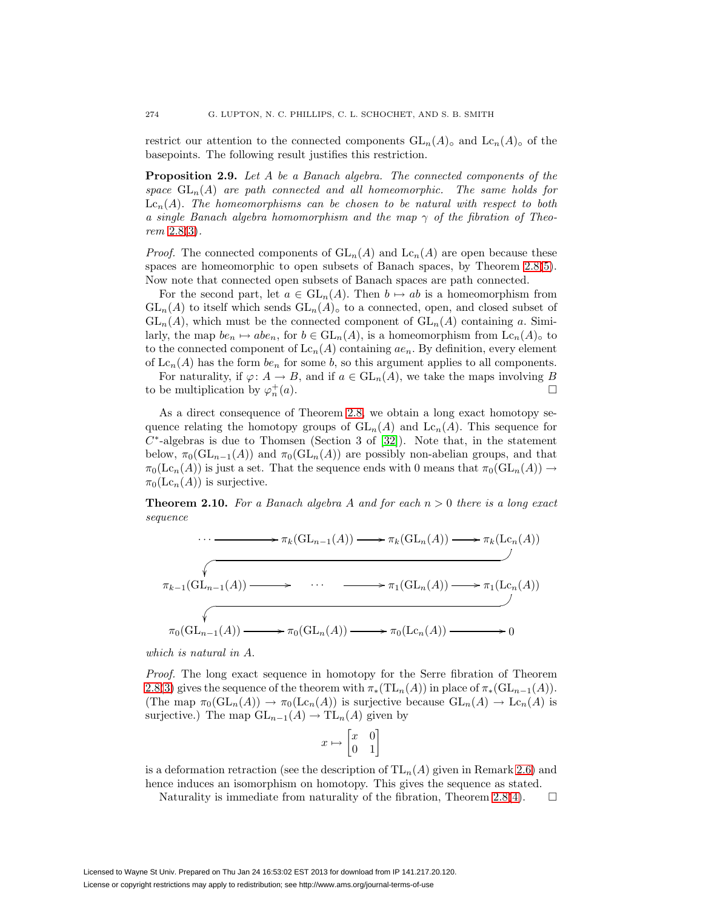<span id="page-7-1"></span>restrict our attention to the connected components  $GL_n(A)$ <sup>°</sup> and  $Lc_n(A)$ <sup>°</sup> of the basepoints. The following result justifies this restriction.

**Proposition 2.9.** Let A be a Banach algebra. The connected components of the space  $GL_n(A)$  are path connected and all homeomorphic. The same holds for  $\mathrm{Lc}_n(A)$ . The homeomorphisms can be chosen to be natural with respect to both a single Banach algebra homomorphism and the map  $\gamma$  of the fibration of Theorem [2.8](#page-5-6)[\(3\)](#page-5-2).

*Proof.* The connected components of  $GL_n(A)$  and  $Lc_n(A)$  are open because these spaces are homeomorphic to open subsets of Banach spaces, by Theorem [2.8\(](#page-5-6)[5\)](#page-5-4). Now note that connected open subsets of Banach spaces are path connected.

For the second part, let  $a \in GL_n(A)$ . Then  $b \mapsto ab$  is a homeomorphism from  $GL_n(A)$  to itself which sends  $GL_n(A)$ <sup>o</sup> to a connected, open, and closed subset of  $GL_n(A)$ , which must be the connected component of  $GL_n(A)$  containing a. Similarly, the map  $be_n \mapsto abe_n$ , for  $b \in GL_n(A)$ , is a homeomorphism from  $Lc_n(A)$ <sup>o</sup> to to the connected component of  $\mathrm{Lc}_n(A)$  containing  $ae_n$ . By definition, every element of  $\text{Lc}_n(A)$  has the form  $be_n$  for some b, so this argument applies to all components.

For naturality, if  $\varphi: A \to B$ , and if  $a \in GL_n(A)$ , we take the maps involving B to be multiplication by  $\varphi_n^+(a)$ .  $_n^+(a)$ .

As a direct consequence of Theorem [2.8,](#page-5-6) we obtain a long exact homotopy sequence relating the homotopy groups of  $GL_n(A)$  and  $Lc_n(A)$ . This sequence for  $C^*$ -algebras is due to Thomsen (Section 3 of [\[32\]](#page-28-1)). Note that, in the statement below,  $\pi_0(\mathrm{GL}_{n-1}(A))$  and  $\pi_0(\mathrm{GL}_n(A))$  are possibly non-abelian groups, and that  $\pi_0(\mathrm{Lc}_n(A))$  is just a set. That the sequence ends with 0 means that  $\pi_0(\mathrm{GL}_n(A)) \to$  $\pi_0(\mathrm{Lc}_n(A))$  is surjective.

<span id="page-7-0"></span>**Theorem 2.10.** For a Banach algebra A and for each  $n > 0$  there is a long exact sequence

$$
\cdots \longrightarrow \pi_k(\mathrm{GL}_{n-1}(A)) \longrightarrow \pi_k(\mathrm{GL}_n(A)) \longrightarrow \pi_k(\mathrm{Lc}_n(A))
$$
\n
$$
\pi_{k-1}(\mathrm{GL}_{n-1}(A)) \longrightarrow \cdots \longrightarrow \pi_1(\mathrm{GL}_n(A)) \longrightarrow \pi_1(\mathrm{Lc}_n(A))
$$
\n
$$
\pi_0(\mathrm{GL}_{n-1}(A)) \longrightarrow \pi_0(\mathrm{GL}_n(A)) \longrightarrow \pi_0(\mathrm{Lc}_n(A)) \longrightarrow 0
$$

which is natural in A.

Proof. The long exact sequence in homotopy for the Serre fibration of Theorem [2.8](#page-5-6)[\(3\)](#page-5-2) gives the sequence of the theorem with  $\pi_*(TL_n(A))$  in place of  $\pi_*(GL_{n-1}(A))$ . (The map  $\pi_0(\mathrm{GL}_n(A)) \to \pi_0(\mathrm{Lc}_n(A))$  is surjective because  $\mathrm{GL}_n(A) \to \mathrm{Lc}_n(A)$  is surjective.) The map  $GL_{n-1}(A) \to TL_n(A)$  given by

$$
x\mapsto\begin{bmatrix}x&0\\0&1\end{bmatrix}
$$

is a deformation retraction (see the description of  $TL_n(A)$  given in Remark [2.6\)](#page-4-6) and hence induces an isomorphism on homotopy. This gives the sequence as stated.

Naturality is immediate from naturality of the fibration, Theorem [2.8](#page-5-6)[\(4\)](#page-5-5).  $\Box$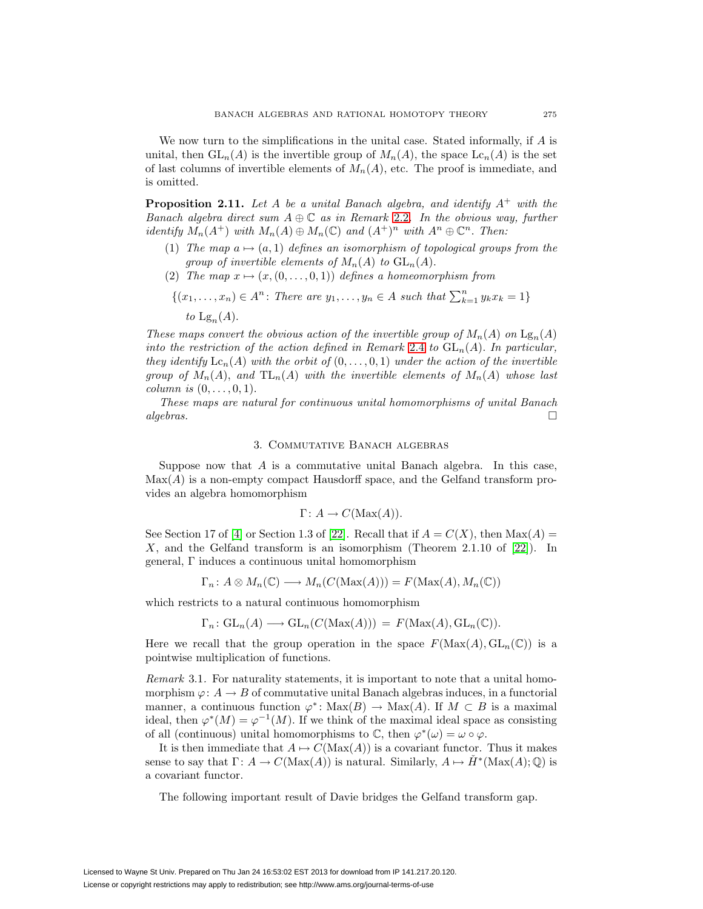We now turn to the simplifications in the unital case. Stated informally, if  $A$  is unital, then  $GL_n(A)$  is the invertible group of  $M_n(A)$ , the space  $Lc_n(A)$  is the set of last columns of invertible elements of  $M_n(A)$ , etc. The proof is immediate, and is omitted.

<span id="page-8-3"></span><span id="page-8-1"></span>**Proposition 2.11.** Let A be a unital Banach algebra, and identify  $A^+$  with the Banach algebra direct sum  $A \oplus \mathbb{C}$  as in Remark [2.2](#page-3-2). In the obvious way, further identify  $M_n(A^+)$  with  $M_n(A) \oplus M_n(\mathbb{C})$  and  $(A^+)^n$  with  $A^n \oplus \mathbb{C}^n$ . Then:

- (1) The map  $a \mapsto (a, 1)$  defines an isomorphism of topological groups from the group of invertible elements of  $M_n(A)$  to  $GL_n(A)$ .
- (2) The map  $x \mapsto (x,(0,\ldots,0,1))$  defines a homeomorphism from

$$
\{(x_1, \ldots, x_n) \in A^n : \text{There are } y_1, \ldots, y_n \in A \text{ such that } \sum_{k=1}^n y_k x_k = 1\}
$$

to  $\mathrm{Lg}_n(A)$ .

These maps convert the obvious action of the invertible group of  $M_n(A)$  on  $\text{Lg}_n(A)$ into the restriction of the action defined in Remark [2.4](#page-4-0) to  $GL_n(A)$ . In particular, they identify  $\mathrm{Lc}_n(A)$  with the orbit of  $(0,\ldots,0,1)$  under the action of the invertible group of  $M_n(A)$ , and  $TL_n(A)$  with the invertible elements of  $M_n(A)$  whose last column is  $(0,\ldots,0,1)$ .

These maps are natural for continuous unital homomorphisms of unital Banach  $algebras.$ 

## 3. Commutative Banach algebras

<span id="page-8-0"></span>Suppose now that  $A$  is a commutative unital Banach algebra. In this case,  $\text{Max}(A)$  is a non-empty compact Hausdorff space, and the Gelfand transform provides an algebra homomorphism

$$
\Gamma: A \to C(\text{Max}(A)).
$$

See Section 17 of [\[4\]](#page-27-8) or Section 1.3 of [\[22\]](#page-27-9). Recall that if  $A = C(X)$ , then  $Max(A) =$ X, and the Gelfand transform is an isomorphism (Theorem 2.1.10 of  $[22]$ ). In general, Γ induces a continuous unital homomorphism

$$
\Gamma_n: A \otimes M_n(\mathbb{C}) \longrightarrow M_n(C(\text{Max}(A))) = F(\text{Max}(A), M_n(\mathbb{C}))
$$

which restricts to a natural continuous homomorphism

$$
\Gamma_n: GL_n(A) \longrightarrow GL_n(C(\text{Max}(A))) = F(\text{Max}(A), GL_n(\mathbb{C})).
$$

Here we recall that the group operation in the space  $F(\text{Max}(A), GL_n(\mathbb{C}))$  is a pointwise multiplication of functions.

Remark 3.1. For naturality statements, it is important to note that a unital homomorphism  $\varphi: A \to B$  of commutative unital Banach algebras induces, in a functorial manner, a continuous function  $\varphi^* \colon \text{Max}(B) \to \text{Max}(A)$ . If  $M \subset B$  is a maximal ideal, then  $\varphi^*(M) = \varphi^{-1}(M)$ . If we think of the maximal ideal space as consisting of all (continuous) unital homomorphisms to  $\mathbb{C}$ , then  $\varphi^*(\omega) = \omega \circ \varphi$ .

It is then immediate that  $A \mapsto C(\text{Max}(A))$  is a covariant functor. Thus it makes sense to say that  $\Gamma: A \to C(\text{Max}(A))$  is natural. Similarly,  $A \mapsto H^*(\text{Max}(A); \mathbb{Q})$  is a covariant functor.

<span id="page-8-2"></span>The following important result of Davie bridges the Gelfand transform gap.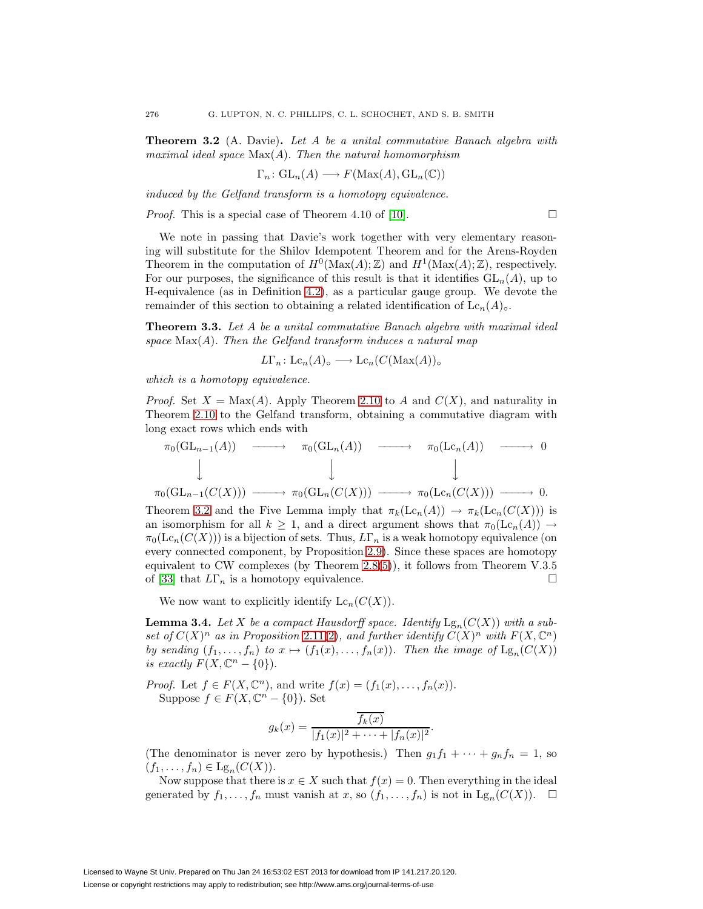**Theorem 3.2** (A. Davie)**.** Let A be a unital commutative Banach algebra with maximal ideal space  $Max(A)$ . Then the natural homomorphism

$$
\Gamma_n\colon\mathrm{GL}_n(A)\longrightarrow F(\mathrm{Max}(A),\mathrm{GL}_n(\mathbb{C}))
$$

induced by the Gelfand transform is a homotopy equivalence.

*Proof.* This is a special case of Theorem 4.10 of [\[10\]](#page-27-5).  $\Box$ 

We note in passing that Davie's work together with very elementary reasoning will substitute for the Shilov Idempotent Theorem and for the Arens-Royden Theorem in the computation of  $H^0(\text{Max}(A); \mathbb{Z})$  and  $H^1(\text{Max}(A); \mathbb{Z})$ , respectively. For our purposes, the significance of this result is that it identifies  $GL_n(A)$ , up to H-equivalence (as in Definition [4.2\)](#page-11-1), as a particular gauge group. We devote the remainder of this section to obtaining a related identification of  $\mathrm{Lc}_n(A)_{\circ}$ .

<span id="page-9-1"></span>**Theorem 3.3.** Let A be a unital commutative Banach algebra with maximal ideal space  $Max(A)$ . Then the Gelfand transform induces a natural map

$$
L\Gamma_n: \mathop{\mathrm{Lc}}\nolimits_n(A)_\circ \longrightarrow \mathop{\mathrm{Lc}}\nolimits_n(C(\mathop{\mathrm{Max}}\nolimits(A))_\circ
$$

which is a homotopy equivalence.

*Proof.* Set  $X = \text{Max}(A)$ . Apply Theorem [2.10](#page-7-0) to A and  $C(X)$ , and naturality in Theorem [2.10](#page-7-0) to the Gelfand transform, obtaining a commutative diagram with long exact rows which ends with

$$
\pi_0(\mathrm{GL}_{n-1}(A)) \longrightarrow \pi_0(\mathrm{GL}_n(A)) \longrightarrow \pi_0(\mathrm{Lc}_n(A)) \longrightarrow 0
$$
  
\n
$$
\downarrow \qquad \qquad \downarrow
$$
  
\n
$$
\pi_0(\mathrm{GL}_{n-1}(C(X))) \longrightarrow \pi_0(\mathrm{GL}_n(C(X))) \longrightarrow \pi_0(\mathrm{Lc}_n(C(X))) \longrightarrow 0.
$$

Theorem [3.2](#page-8-2) and the Five Lemma imply that  $\pi_k(\mathrm{Lc}_n(A)) \to \pi_k(\mathrm{Lc}_n(C(X)))$  is an isomorphism for all  $k \geq 1$ , and a direct argument shows that  $\pi_0(\mathrm{Lc}_n(A)) \to$  $\pi_0(\mathrm{Lc}_n(C(X)))$  is a bijection of sets. Thus,  $L\Gamma_n$  is a weak homotopy equivalence (on every connected component, by Proposition [2.9\)](#page-7-1). Since these spaces are homotopy equivalent to CW complexes (by Theorem [2.8](#page-5-6)[\(5\)](#page-5-4)), it follows from Theorem V.3.5 of [\[33\]](#page-28-3) that  $L\Gamma_n$  is a homotopy equivalence.

We now want to explicitly identify  $\mathrm{Lc}_n(C(X))$ .

<span id="page-9-0"></span>**Lemma 3.4.** Let X be a compact Hausdorff space. Identify  $\text{Lg}_n(C(X))$  with a subset of  $C(X)^n$  as in Proposition [2.11](#page-8-1)[\(2\)](#page-8-3), and further identify  $C(X)^n$  with  $F(X, \mathbb{C}^n)$ by sending  $(f_1,\ldots,f_n)$  to  $x \mapsto (f_1(x),\ldots,f_n(x))$ . Then the image of  $\mathrm{Lg}_n(C(X))$ is exactly  $F(X, \mathbb{C}^n - \{0\}).$ 

*Proof.* Let  $f \in F(X, \mathbb{C}^n)$ , and write  $f(x) = (f_1(x), \ldots, f_n(x))$ . Suppose  $f \in F(X, \mathbb{C}^n - \{0\})$ . Set

$$
g_k(x) = \frac{\overline{f_k(x)}}{|f_1(x)|^2 + \cdots + |f_n(x)|^2}.
$$

(The denominator is never zero by hypothesis.) Then  $g_1 f_1 + \cdots + g_n f_n = 1$ , so  $(f_1,\ldots,f_n)\in \mathrm{Lg}_n(C(X)).$ 

<span id="page-9-2"></span>Now suppose that there is  $x \in X$  such that  $f(x)=0$ . Then everything in the ideal generated by  $f_1, \ldots, f_n$  must vanish at x, so  $(f_1, \ldots, f_n)$  is not in  $\mathrm{Lg}_n(C(X))$ .  $\Box$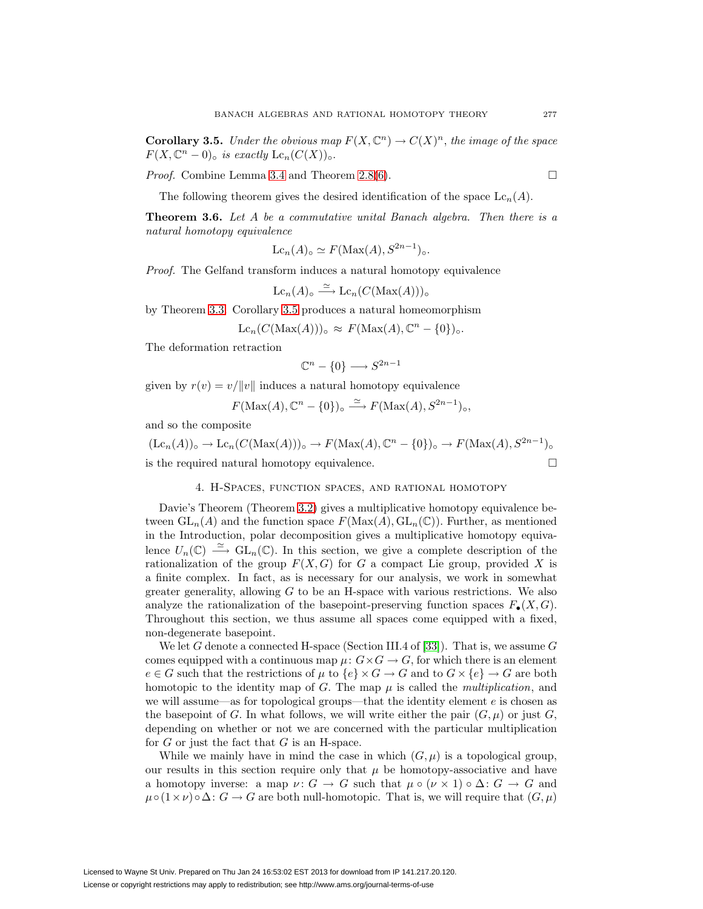**Corollary 3.5.** Under the obvious map  $F(X, \mathbb{C}^n) \to C(X)^n$ , the image of the space  $F(X, \mathbb{C}^n - 0)_{\circ}$  is exactly  $Lc_n(C(X))_{\circ}.$ 

*Proof.* Combine Lemma [3.4](#page-9-0) and Theorem [2.8](#page-5-6)[\(6\)](#page-5-3).  $\Box$ 

The following theorem gives the desired identification of the space  $\mathrm{Lc}_n(A)$ .

<span id="page-10-0"></span>**Theorem 3.6.** Let A be a commutative unital Banach algebra. Then there is a natural homotopy equivalence

$$
\mathcal{L}c_n(A)_{\circ} \simeq F(\text{Max}(A), S^{2n-1})_{\circ}.
$$

Proof. The Gelfand transform induces a natural homotopy equivalence

$$
\mathop{\mathrm{Lc}}\nolimits_n(A)_{\circ} \stackrel{\simeq}{\longrightarrow} \mathop{\mathrm{Lc}}\nolimits_n(C(\mathop{\mathrm{Max}}\nolimits(A)))_{\circ}
$$

by Theorem [3.3.](#page-9-1) Corollary [3.5](#page-9-2) produces a natural homeomorphism

$$
\mathcal{L}c_n(C(\mathcal{\rm Max}(A)))_{\circ} \approx F(\mathcal{\rm Max}(A),\mathbb{C}^n - \{0\})_{\circ}.
$$

The deformation retraction

$$
\mathbb{C}^n - \{0\} \longrightarrow S^{2n-1}
$$

given by  $r(v) = v/||v||$  induces a natural homotopy equivalence

$$
F(\text{Max}(A), \mathbb{C}^n - \{0\})_{\circ} \xrightarrow{\simeq} F(\text{Max}(A), S^{2n-1})_{\circ},
$$

and so the composite

$$
(\text{Lc}_n(A))_{\circ} \to \text{Lc}_n(C(\text{Max}(A)))_{\circ} \to F(\text{Max}(A), \mathbb{C}^n - \{0\})_{\circ} \to F(\text{Max}(A), S^{2n-1})_{\circ}
$$
  
is the required natural homotopy equivalence.

## 4. H-Spaces, function spaces, and rational homotopy

<span id="page-10-1"></span>Davie's Theorem (Theorem [3.2\)](#page-8-2) gives a multiplicative homotopy equivalence between  $GL_n(A)$  and the function space  $F(\text{Max}(A), GL_n(\mathbb{C}))$ . Further, as mentioned in the Introduction, polar decomposition gives a multiplicative homotopy equivalence  $U_n(\mathbb{C}) \stackrel{\simeq}{\longrightarrow} GL_n(\mathbb{C})$ . In this section, we give a complete description of the rationalization of the group  $F(X, G)$  for G a compact Lie group, provided X is a finite complex. In fact, as is necessary for our analysis, we work in somewhat greater generality, allowing  $G$  to be an H-space with various restrictions. We also analyze the rationalization of the basepoint-preserving function spaces  $F_{\bullet}(X, G)$ . Throughout this section, we thus assume all spaces come equipped with a fixed, non-degenerate basepoint.

We let G denote a connected H-space (Section III.4 of [\[33\]](#page-28-3)). That is, we assume  $G$ comes equipped with a continuous map  $\mu: G \times G \to G$ , for which there is an element  $e \in G$  such that the restrictions of  $\mu$  to  $\{e\} \times G \to G$  and to  $G \times \{e\} \to G$  are both homotopic to the identity map of G. The map  $\mu$  is called the *multiplication*, and we will assume—as for topological groups—that the identity element  $e$  is chosen as the basepoint of G. In what follows, we will write either the pair  $(G, \mu)$  or just G, depending on whether or not we are concerned with the particular multiplication for  $G$  or just the fact that  $G$  is an H-space.

While we mainly have in mind the case in which  $(G, \mu)$  is a topological group, our results in this section require only that  $\mu$  be homotopy-associative and have a homotopy inverse: a map  $\nu: G \to G$  such that  $\mu \circ (\nu \times 1) \circ \Delta: G \to G$  and  $\mu \circ (1 \times \nu) \circ \Delta : G \to G$  are both null-homotopic. That is, we will require that  $(G, \mu)$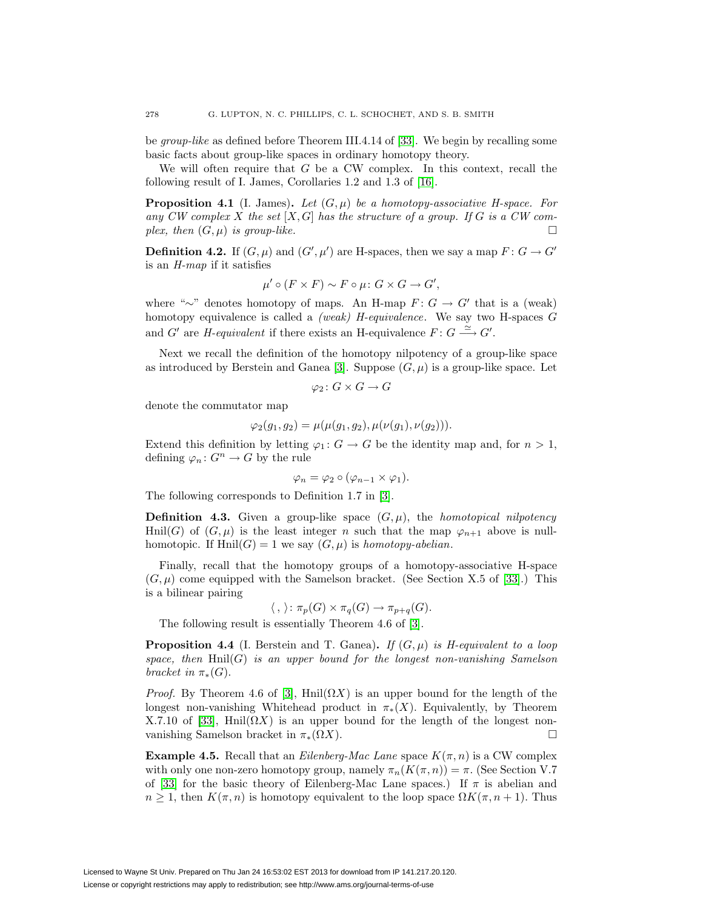be group-like as defined before Theorem III.4.14 of [\[33\]](#page-28-3). We begin by recalling some basic facts about group-like spaces in ordinary homotopy theory.

<span id="page-11-2"></span>We will often require that  $G$  be a CW complex. In this context, recall the following result of I. James, Corollaries 1.2 and 1.3 of [\[16\]](#page-27-12).

**Proposition 4.1** (I. James). Let  $(G, \mu)$  be a homotopy-associative H-space. For any CW complex X the set  $[X, G]$  has the structure of a group. If G is a CW complex, then  $(G, \mu)$  is group-like.

<span id="page-11-1"></span>**Definition 4.2.** If  $(G, \mu)$  and  $(G', \mu')$  are H-spaces, then we say a map  $F: G \to G'$ is an H-map if it satisfies

$$
\mu' \circ (F \times F) \sim F \circ \mu \colon G \times G \to G',
$$

where "∼" denotes homotopy of maps. An H-map  $F: G \to G'$  that is a (weak) homotopy equivalence is called a *(weak)*  $H$ -equivalence. We say two  $H$ -spaces  $G$ and G' are *H*-equivalent if there exists an H-equivalence  $F: G \longrightarrow G'$ .

Next we recall the definition of the homotopy nilpotency of a group-like space as introduced by Berstein and Ganea [\[3\]](#page-27-13). Suppose  $(G, \mu)$  is a group-like space. Let

$$
\varphi_2\colon G\times G\to G
$$

denote the commutator map

$$
\varphi_2(g_1, g_2) = \mu(\mu(g_1, g_2), \mu(\nu(g_1), \nu(g_2))).
$$

Extend this definition by letting  $\varphi_1: G \to G$  be the identity map and, for  $n > 1$ , defining  $\varphi_n: G^n \to G$  by the rule

$$
\varphi_n = \varphi_2 \circ (\varphi_{n-1} \times \varphi_1).
$$

The following corresponds to Definition 1.7 in [\[3\]](#page-27-13).

**Definition 4.3.** Given a group-like space  $(G, \mu)$ , the *homotopical nilpotency* Hnil(G) of  $(G, \mu)$  is the least integer n such that the map  $\varphi_{n+1}$  above is nullhomotopic. If  $\text{Hnil}(G) = 1$  we say  $(G, \mu)$  is homotopy-abelian.

Finally, recall that the homotopy groups of a homotopy-associative H-space  $(G,\mu)$  come equipped with the Samelson bracket. (See Section X.5 of [\[33\]](#page-28-3).) This is a bilinear pairing

$$
\langle , \rangle : \pi_p(G) \times \pi_q(G) \to \pi_{p+q}(G).
$$

The following result is essentially Theorem 4.6 of [\[3\]](#page-27-13).

<span id="page-11-3"></span>**Proposition 4.4** (I. Berstein and T. Ganea). If  $(G, \mu)$  is H-equivalent to a loop space, then  $\text{Hnil}(G)$  is an upper bound for the longest non-vanishing Samelson bracket in  $\pi_*(G)$ .

*Proof.* By Theorem 4.6 of [\[3\]](#page-27-13), Hnil $(\Omega X)$  is an upper bound for the length of the longest non-vanishing Whitehead product in  $\pi_*(X)$ . Equivalently, by Theorem X.7.10 of [\[33\]](#page-28-3), Hnil( $\Omega X$ ) is an upper bound for the length of the longest nonvanishing Samelson bracket in  $\pi_*(\Omega X)$ .

<span id="page-11-0"></span>**Example 4.5.** Recall that an *Eilenberg-Mac Lane* space  $K(\pi, n)$  is a CW complex with only one non-zero homotopy group, namely  $\pi_n(K(\pi,n)) = \pi$ . (See Section V.7) of [\[33\]](#page-28-3) for the basic theory of Eilenberg-Mac Lane spaces.) If  $\pi$  is abelian and  $n \geq 1$ , then  $K(\pi, n)$  is homotopy equivalent to the loop space  $\Omega K(\pi, n+1)$ . Thus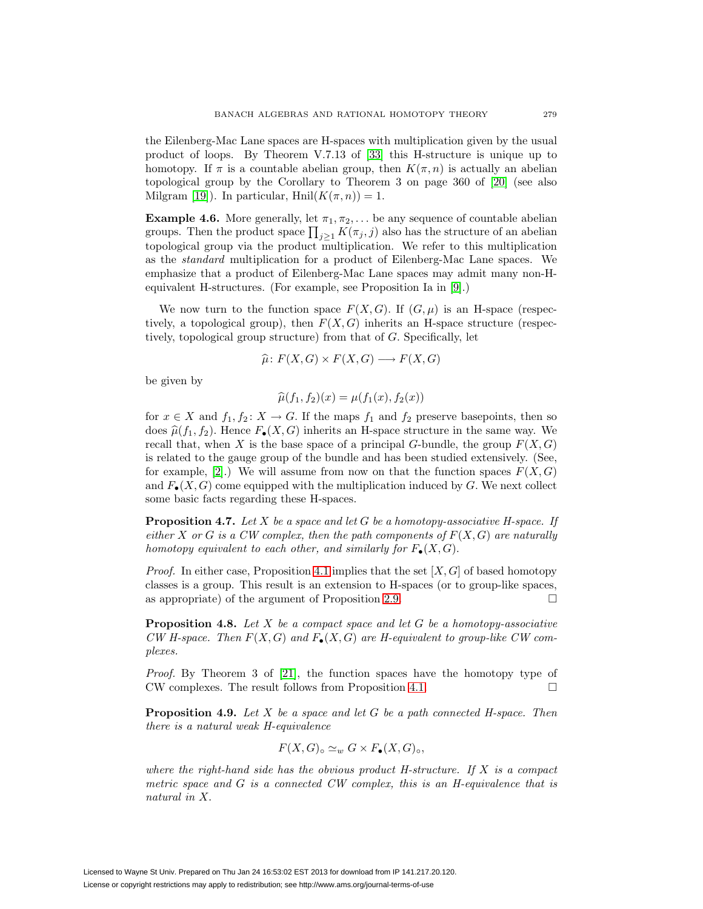the Eilenberg-Mac Lane spaces are H-spaces with multiplication given by the usual product of loops. By Theorem V.7.13 of [\[33\]](#page-28-3) this H-structure is unique up to homotopy. If  $\pi$  is a countable abelian group, then  $K(\pi,n)$  is actually an abelian topological group by the Corollary to Theorem 3 on page 360 of [\[20\]](#page-27-0) (see also Milgram [\[19\]](#page-27-1)). In particular,  $\text{Hnil}(K(\pi,n))=1$ .

<span id="page-12-0"></span>**Example 4.6.** More generally, let  $\pi_1, \pi_2, \ldots$  be any sequence of countable abelian groups. Then the product space  $\prod_{j\geq 1} K(\pi_j, j)$  also has the structure of an abelian topological group via the product multiplication. We refer to this multiplication as the standard multiplication for a product of Eilenberg-Mac Lane spaces. We emphasize that a product of Eilenberg-Mac Lane spaces may admit many non-Hequivalent H-structures. (For example, see Proposition Ia in [\[9\]](#page-27-14).)

We now turn to the function space  $F(X, G)$ . If  $(G, \mu)$  is an H-space (respectively, a topological group), then  $F(X, G)$  inherits an H-space structure (respectively, topological group structure) from that of G. Specifically, let

$$
\widehat{\mu} \colon F(X, G) \times F(X, G) \longrightarrow F(X, G)
$$

be given by

$$
\widehat{\mu}(f_1, f_2)(x) = \mu(f_1(x), f_2(x))
$$

for  $x \in X$  and  $f_1, f_2 \colon X \to G$ . If the maps  $f_1$  and  $f_2$  preserve basepoints, then so does  $\hat{\mu}(f_1, f_2)$ . Hence  $F_{\bullet}(X, G)$  inherits an H-space structure in the same way. We recall that, when X is the base space of a principal G-bundle, the group  $F(X, G)$ is related to the gauge group of the bundle and has been studied extensively. (See, for example, [\[2\]](#page-27-15).) We will assume from now on that the function spaces  $F(X, G)$ and  $F_{\bullet}(X, G)$  come equipped with the multiplication induced by G. We next collect some basic facts regarding these H-spaces.

<span id="page-12-1"></span>**Proposition 4.7.** Let X be a space and let G be a homotopy-associative H-space. If either X or G is a CW complex, then the path components of  $F(X, G)$  are naturally homotopy equivalent to each other, and similarly for  $F_{\bullet}(X, G)$ .

*Proof.* In either case, Proposition [4.1](#page-11-2) implies that the set  $[X, G]$  of based homotopy classes is a group. This result is an extension to H-spaces (or to group-like spaces, as appropriate) of the argument of Proposition [2.9.](#page-7-1)

<span id="page-12-2"></span>**Proposition 4.8.** Let X be a compact space and let G be a homotopy-associative CW H-space. Then  $F(X, G)$  and  $F_{\bullet}(X, G)$  are H-equivalent to group-like CW complexes.

Proof. By Theorem 3 of [\[21\]](#page-27-16), the function spaces have the homotopy type of CW complexes. The result follows from Proposition [4.1.](#page-11-2)  $\Box$ 

<span id="page-12-3"></span>**Proposition 4.9.** Let X be a space and let G be a path connected H-space. Then there is a natural weak H-equivalence

$$
F(X, G) \circ \simeq_w G \times F_{\bullet}(X, G) \circ,
$$

where the right-hand side has the obvious product  $H\text{-}structure$ . If  $X$  is a compact metric space and G is a connected CW complex, this is an H-equivalence that is natural in X.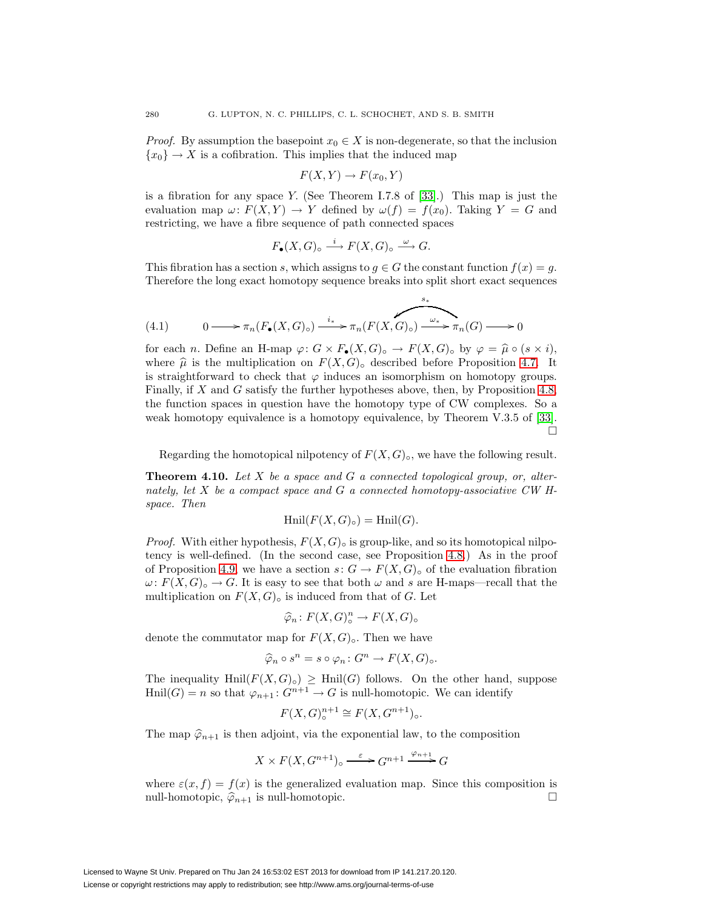*Proof.* By assumption the basepoint  $x_0 \in X$  is non-degenerate, so that the inclusion  $\{x_0\} \rightarrow X$  is a cofibration. This implies that the induced map

<span id="page-13-1"></span>
$$
F(X,Y) \to F(x_0,Y)
$$

is a fibration for any space Y. (See Theorem I.7.8 of [\[33\]](#page-28-3).) This map is just the evaluation map  $\omega: F(X,Y) \to Y$  defined by  $\omega(f) = f(x_0)$ . Taking  $Y = G$  and restricting, we have a fibre sequence of path connected spaces

$$
F_{\bullet}(X,G)_{\circ} \stackrel{i}{\longrightarrow} F(X,G)_{\circ} \stackrel{\omega}{\longrightarrow} G.
$$

This fibration has a section s, which assigns to  $g \in G$  the constant function  $f(x) = g$ . Therefore the long exact homotopy sequence breaks into split short exact sequences

(4.1) 
$$
0 \longrightarrow \pi_n(F_{\bullet}(X, G)_{\circ}) \xrightarrow{i_*} \pi_n(F(X, G)_{\circ}) \xrightarrow{\omega_*} \pi_n(G) \longrightarrow 0
$$

for each n. Define an H-map  $\varphi: G \times F_{\bullet}(X, G)_{\circ} \to F(X, G)_{\circ}$  by  $\varphi = \widehat{\mu} \circ (s \times i),$ where  $\hat{\mu}$  is the multiplication on  $F(X, G)_{\circ}$  described before Proposition [4.7.](#page-12-1) It is straightforward to check that  $\varphi$  induces an isomorphism on homotopy groups. Finally, if X and G satisfy the further hypotheses above, then, by Proposition [4.8,](#page-12-2) the function spaces in question have the homotopy type of CW complexes. So a weak homotopy equivalence is a homotopy equivalence, by Theorem V.3.5 of [\[33\]](#page-28-3).  $\Box$ 

Regarding the homotopical nilpotency of  $F(X, G)_{\circ}$ , we have the following result.

<span id="page-13-0"></span>**Theorem 4.10.** Let X be a space and G a connected topological group, or, alternately, let  $X$  be a compact space and  $G$  a connected homotopy-associative CW Hspace. Then

$$
\operatorname{Hnil}(F(X,G)_{\circ}) = \operatorname{Hnil}(G).
$$

*Proof.* With either hypothesis,  $F(X, G)$  is group-like, and so its homotopical nilpotency is well-defined. (In the second case, see Proposition [4.8.](#page-12-2)) As in the proof of Proposition [4.9,](#page-12-3) we have a section  $s: G \to F(X, G)_{\circ}$  of the evaluation fibration  $\omega: F(X, G)_{\circ} \to G$ . It is easy to see that both  $\omega$  and s are H-maps—recall that the multiplication on  $F(X, G)_{\circ}$  is induced from that of G. Let

$$
\widehat{\varphi}_n\colon F(X,G)^n_{\circ}\to F(X,G)_{\circ}
$$

denote the commutator map for  $F(X, G)_{\circ}$ . Then we have

$$
\widehat{\varphi}_n \circ s^n = s \circ \varphi_n \colon G^n \to F(X, G)_{\circ}.
$$

The inequality Hnil $(F(X, G)_{\circ}) \geq$  Hnil $(G)$  follows. On the other hand, suppose  $\text{Hnil}(G) = n$  so that  $\varphi_{n+1} : G^{n+1} \to G$  is null-homotopic. We can identify

$$
F(X, G)^{n+1}_{\circ} \cong F(X, G^{n+1})_{\circ}.
$$

The map  $\hat{\varphi}_{n+1}$  is then adjoint, via the exponential law, to the composition

$$
X \times F(X, G^{n+1}) \circ \xrightarrow{\varepsilon} G^{n+1} \xrightarrow{\varphi_{n+1}} G
$$

where  $\varepsilon(x, f) = f(x)$  is the generalized evaluation map. Since this composition is null-homotopic,  $\hat{\varphi}_{n+1}$  is null-homotopic.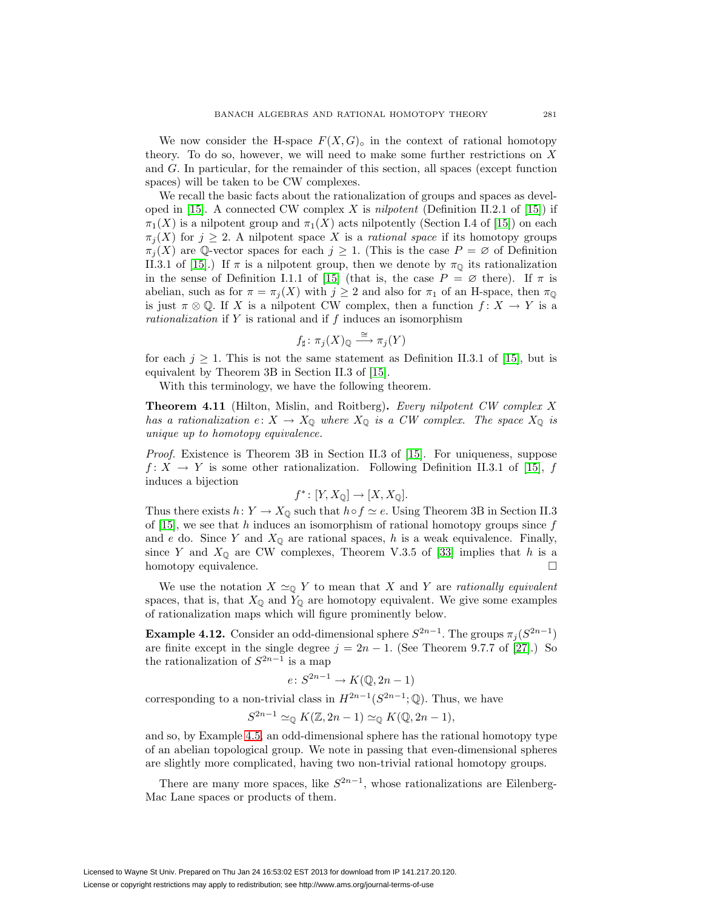We now consider the H-space  $F(X, G)$ <sup>o</sup> in the context of rational homotopy theory. To do so, however, we will need to make some further restrictions on  $X$ and G. In particular, for the remainder of this section, all spaces (except function spaces) will be taken to be CW complexes.

We recall the basic facts about the rationalization of groups and spaces as devel-oped in [\[15\]](#page-27-17). A connected CW complex X is nilpotent (Definition II.2.1 of [15]) if  $\pi_1(X)$  is a nilpotent group and  $\pi_1(X)$  acts nilpotently (Section I.4 of [\[15\]](#page-27-17)) on each  $\pi_i(X)$  for  $j \geq 2$ . A nilpotent space X is a *rational space* if its homotopy groups  $\pi_i(X)$  are Q-vector spaces for each  $j \geq 1$ . (This is the case  $P = \emptyset$  of Definition II.3.1 of [\[15\]](#page-27-17).) If  $\pi$  is a nilpotent group, then we denote by  $\pi_{\mathbb{Q}}$  its rationalization in the sense of Definition I.1.1 of [\[15\]](#page-27-17) (that is, the case  $P = \emptyset$  there). If  $\pi$  is abelian, such as for  $\pi = \pi_i(X)$  with  $j \geq 2$  and also for  $\pi_1$  of an H-space, then  $\pi_0$ is just  $\pi \otimes \mathbb{Q}$ . If X is a nilpotent CW complex, then a function  $f: X \to Y$  is a rationalization if Y is rational and if f induces an isomorphism

$$
f_{\sharp} \colon \pi_j(X)_{\mathbb{Q}} \xrightarrow{\cong} \pi_j(Y)
$$

for each  $j \geq 1$ . This is not the same statement as Definition II.3.1 of [\[15\]](#page-27-17), but is equivalent by Theorem 3B in Section II.3 of [\[15\]](#page-27-17).

With this terminology, we have the following theorem.

<span id="page-14-1"></span>**Theorem 4.11** (Hilton, Mislin, and Roitberg)**.** Every nilpotent CW complex X has a rationalization  $e: X \to X_{\mathbb{Q}}$  where  $X_{\mathbb{Q}}$  is a CW complex. The space  $X_{\mathbb{Q}}$  is unique up to homotopy equivalence.

Proof. Existence is Theorem 3B in Section II.3 of [\[15\]](#page-27-17). For uniqueness, suppose  $f: X \to Y$  is some other rationalization. Following Definition II.3.1 of [\[15\]](#page-27-17), f induces a bijection

$$
f^* \colon [Y, X_{\mathbb{Q}}] \to [X, X_{\mathbb{Q}}].
$$

Thus there exists  $h: Y \to X_{\mathbb{Q}}$  such that  $h \circ f \simeq e$ . Using Theorem 3B in Section II.3 of [\[15\]](#page-27-17), we see that h induces an isomorphism of rational homotopy groups since  $f$ and e do. Since Y and  $X_{\mathbb{Q}}$  are rational spaces, h is a weak equivalence. Finally, since Y and  $X_{\mathbb{Q}}$  are CW complexes, Theorem V.3.5 of [\[33\]](#page-28-3) implies that h is a homotopy equivalence.

We use the notation  $X \simeq_{\mathbb{Q}} Y$  to mean that X and Y are rationally equivalent spaces, that is, that  $X_{\mathbb{Q}}$  and  $Y_{\mathbb{Q}}$  are homotopy equivalent. We give some examples of rationalization maps which will figure prominently below.

<span id="page-14-2"></span>**Example 4.12.** Consider an odd-dimensional sphere  $S^{2n-1}$ . The groups  $\pi_i(S^{2n-1})$ are finite except in the single degree  $j = 2n - 1$ . (See Theorem 9.7.7 of [\[27\]](#page-27-18).) So the rationalization of  $S^{2n-1}$  is a map

$$
e \colon S^{2n-1} \to K(\mathbb{Q}, 2n-1)
$$

corresponding to a non-trivial class in  $H^{2n-1}(S^{2n-1}; \mathbb{Q})$ . Thus, we have

$$
S^{2n-1} \simeq_{\mathbb{Q}} K(\mathbb{Z}, 2n-1) \simeq_{\mathbb{Q}} K(\mathbb{Q}, 2n-1),
$$

and so, by Example [4.5,](#page-11-0) an odd-dimensional sphere has the rational homotopy type of an abelian topological group. We note in passing that even-dimensional spheres are slightly more complicated, having two non-trivial rational homotopy groups.

<span id="page-14-0"></span>There are many more spaces, like  $S^{2n-1}$ , whose rationalizations are Eilenberg-Mac Lane spaces or products of them.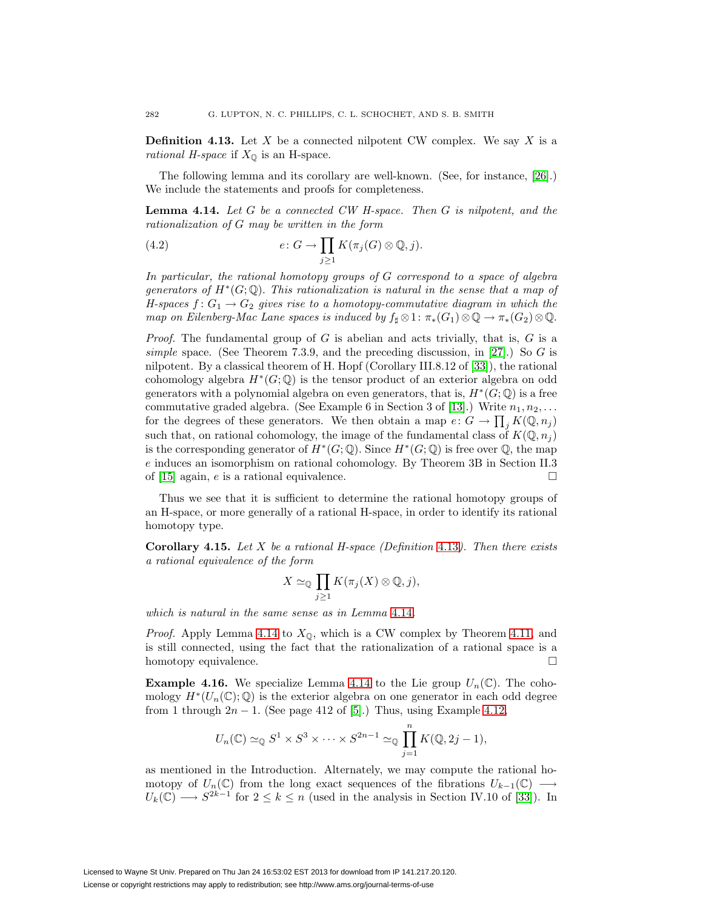**Definition 4.13.** Let  $X$  be a connected nilpotent CW complex. We say  $X$  is a *rational H-space* if  $X_{\mathbb{Q}}$  is an H-space.

<span id="page-15-1"></span>The following lemma and its corollary are well-known. (See, for instance, [\[26\]](#page-27-19).) We include the statements and proofs for completeness.

**Lemma 4.14.** Let G be a connected CW H-space. Then G is nilpotent, and the rationalization of G may be written in the form

(4.2) 
$$
e: G \to \prod_{j\geq 1} K(\pi_j(G) \otimes \mathbb{Q}, j).
$$

In particular, the rational homotopy groups of G correspond to a space of algebra generators of  $H^*(G; \mathbb{Q})$ . This rationalization is natural in the sense that a map of H-spaces  $f: G_1 \to G_2$  gives rise to a homotopy-commutative diagram in which the map on Eilenberg-Mac Lane spaces is induced by  $f_{\sharp} \otimes 1$ :  $\pi_*(G_1) \otimes \mathbb{Q} \to \pi_*(G_2) \otimes \mathbb{Q}$ .

*Proof.* The fundamental group of G is abelian and acts trivially, that is, G is a simple space. (See Theorem 7.3.9, and the preceding discussion, in [\[27\]](#page-27-18).) So G is nilpotent. By a classical theorem of H. Hopf (Corollary III.8.12 of [\[33\]](#page-28-3)), the rational cohomology algebra  $H^*(G; \mathbb{Q})$  is the tensor product of an exterior algebra on odd generators with a polynomial algebra on even generators, that is,  $H^*(G; \mathbb{Q})$  is a free commutative graded algebra. (See Example 6 in Section 3 of [\[13\]](#page-27-20).) Write  $n_1, n_2, \ldots$ for the degrees of these generators. We then obtain a map  $e: G \to \prod_j K(\mathbb{Q}, n_j)$ such that, on rational cohomology, the image of the fundamental class of  $K(\mathbb{Q}, n_i)$ is the corresponding generator of  $H^*(G; \mathbb{Q})$ . Since  $H^*(G; \mathbb{Q})$  is free over  $\mathbb{Q}$ , the map e induces an isomorphism on rational cohomology. By Theorem 3B in Section II.3 of [\[15\]](#page-27-17) again, e is a rational equivalence.  $\Box$ 

Thus we see that it is sufficient to determine the rational homotopy groups of an H-space, or more generally of a rational H-space, in order to identify its rational homotopy type.

<span id="page-15-2"></span>**Corollary 4.15.** Let X be a rational H-space (Definition [4.13](#page-14-0)). Then there exists a rational equivalence of the form

$$
X \simeq_{\mathbb{Q}} \prod_{j \geq 1} K(\pi_j(X) \otimes \mathbb{Q}, j),
$$

which is natural in the same sense as in Lemma [4.14](#page-15-1).

*Proof.* Apply Lemma [4.14](#page-15-1) to  $X_{\mathbb{Q}}$ , which is a CW complex by Theorem [4.11,](#page-14-1) and is still connected, using the fact that the rationalization of a rational space is a homotopy equivalence.  $\hfill \square$ 

<span id="page-15-0"></span>**Example 4.16.** We specialize Lemma [4.14](#page-15-1) to the Lie group  $U_n(\mathbb{C})$ . The cohomology  $H^*(U_n(\mathbb{C}); \mathbb{Q})$  is the exterior algebra on one generator in each odd degree from 1 through  $2n - 1$ . (See page 412 of [\[5\]](#page-27-21).) Thus, using Example [4.12,](#page-14-2)

$$
U_n(\mathbb{C}) \simeq_{\mathbb{Q}} S^1 \times S^3 \times \cdots \times S^{2n-1} \simeq_{\mathbb{Q}} \prod_{j=1}^n K(\mathbb{Q}, 2j-1),
$$

as mentioned in the Introduction. Alternately, we may compute the rational homotopy of  $U_n(\mathbb{C})$  from the long exact sequences of the fibrations  $U_{k-1}(\mathbb{C}) \longrightarrow$  $U_k(\mathbb{C}) \longrightarrow S^{2k-1}$  for  $2 \leq k \leq n$  (used in the analysis in Section IV.10 of [\[33\]](#page-28-3)). In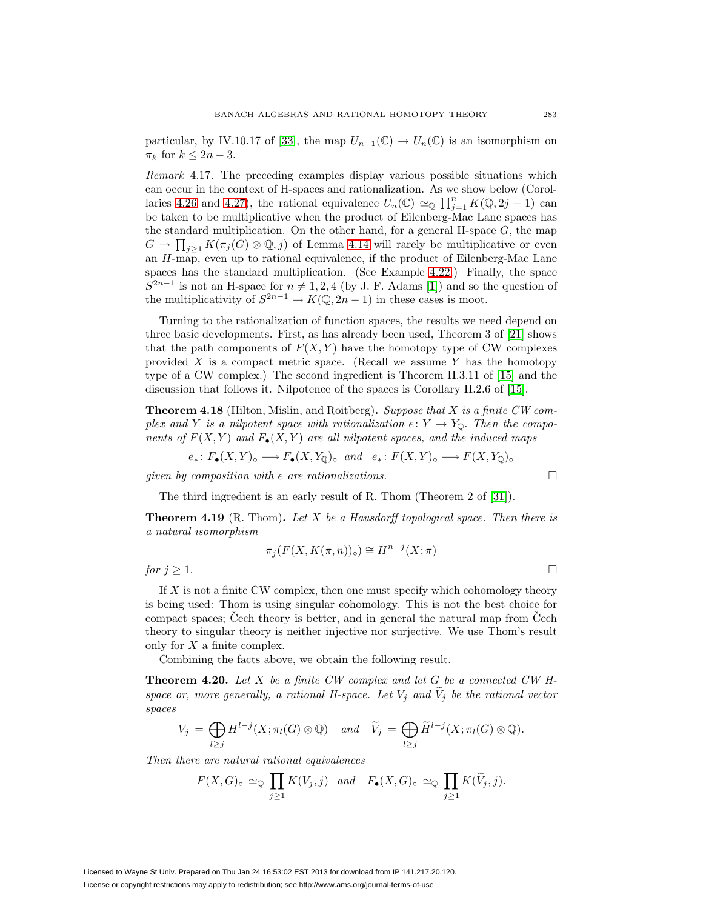particular, by IV.10.17 of [\[33\]](#page-28-3), the map  $U_{n-1}(\mathbb{C}) \to U_n(\mathbb{C})$  is an isomorphism on  $\pi_k$  for  $k \leq 2n-3$ .

Remark 4.17. The preceding examples display various possible situations which can occur in the context of H-spaces and rationalization. As we show below (Corol-laries [4.26](#page-18-0) and [4.27\)](#page-19-0), the rational equivalence  $U_n(\mathbb{C}) \simeq_{\mathbb{Q}} \prod_{j=1}^n K(\mathbb{Q}, 2j-1)$  can be taken to be multiplicative when the product of Eilenberg-Mac Lane spaces has the standard multiplication. On the other hand, for a general H-space  $G$ , the map  $G \to \prod_{j\geq 1} K(\pi_j(G) \otimes \mathbb{Q}, j)$  of Lemma [4.14](#page-15-1) will rarely be multiplicative or even an  $H$ -map, even up to rational equivalence, if the product of Eilenberg-Mac Lane spaces has the standard multiplication. (See Example [4.22.](#page-17-0)) Finally, the space  $S^{2n-1}$  is not an H-space for  $n \neq 1, 2, 4$  (by J. F. Adams [\[1\]](#page-27-22)) and so the question of the multiplicativity of  $S^{2n-1} \to K(\mathbb{Q}, 2n-1)$  in these cases is moot.

Turning to the rationalization of function spaces, the results we need depend on three basic developments. First, as has already been used, Theorem 3 of [\[21\]](#page-27-16) shows that the path components of  $F(X, Y)$  have the homotopy type of CW complexes provided  $X$  is a compact metric space. (Recall we assume  $Y$  has the homotopy type of a CW complex.) The second ingredient is Theorem II.3.11 of [\[15\]](#page-27-17) and the discussion that follows it. Nilpotence of the spaces is Corollary II.2.6 of [\[15\]](#page-27-17).

<span id="page-16-0"></span>**Theorem 4.18** (Hilton, Mislin, and Roitberg)**.** Suppose that X is a finite CW complex and Y is a nilpotent space with rationalization  $e: Y \to Y_{\mathbb{Q}}$ . Then the components of  $F(X,Y)$  and  $F_{\bullet}(X,Y)$  are all nilpotent spaces, and the induced maps

$$
e_*\colon F_{\bullet}(X,Y)_{\circ} \longrightarrow F_{\bullet}(X,Y_{\mathbb{Q}})_{\circ} \text{ and } e_*\colon F(X,Y)_{\circ} \longrightarrow F(X,Y_{\mathbb{Q}})_{\circ}
$$

qiven by composition with e are rationalizations.  $\Box$ 

The third ingredient is an early result of R. Thom (Theorem 2 of [\[31\]](#page-28-4)).

<span id="page-16-1"></span>**Theorem 4.19** (R. Thom). Let X be a Hausdorff topological space. Then there is a natural isomorphism

$$
\pi_j(F(X, K(\pi, n))_{\circ}) \cong H^{n-j}(X; \pi)
$$
  
for  $j \ge 1$ .

If X is not a finite CW complex, then one must specify which cohomology theory is being used: Thom is using singular cohomology. This is not the best choice for compact spaces; Čech theory is better, and in general the natural map from  $\tilde{C}$ ech theory to singular theory is neither injective nor surjective. We use Thom's result only for  $X$  a finite complex.

Combining the facts above, we obtain the following result.

<span id="page-16-2"></span>**Theorem 4.20.** Let X be a finite CW complex and let G be a connected CW Hspace or, more generally, a rational H-space. Let  $V_i$  and  $\tilde{V}_i$  be the rational vector spaces

$$
V_j = \bigoplus_{l \geq j} H^{l-j}(X; \pi_l(G) \otimes \mathbb{Q}) \quad and \quad \widetilde{V}_j = \bigoplus_{l \geq j} \widetilde{H}^{l-j}(X; \pi_l(G) \otimes \mathbb{Q}).
$$

Then there are natural rational equivalences

$$
F(X, G) \circ \simeq_{\mathbb{Q}} \prod_{j\geq 1} K(V_j, j) \quad and \quad F_{\bullet}(X, G) \circ \simeq_{\mathbb{Q}} \prod_{j\geq 1} K(\widetilde{V}_j, j).
$$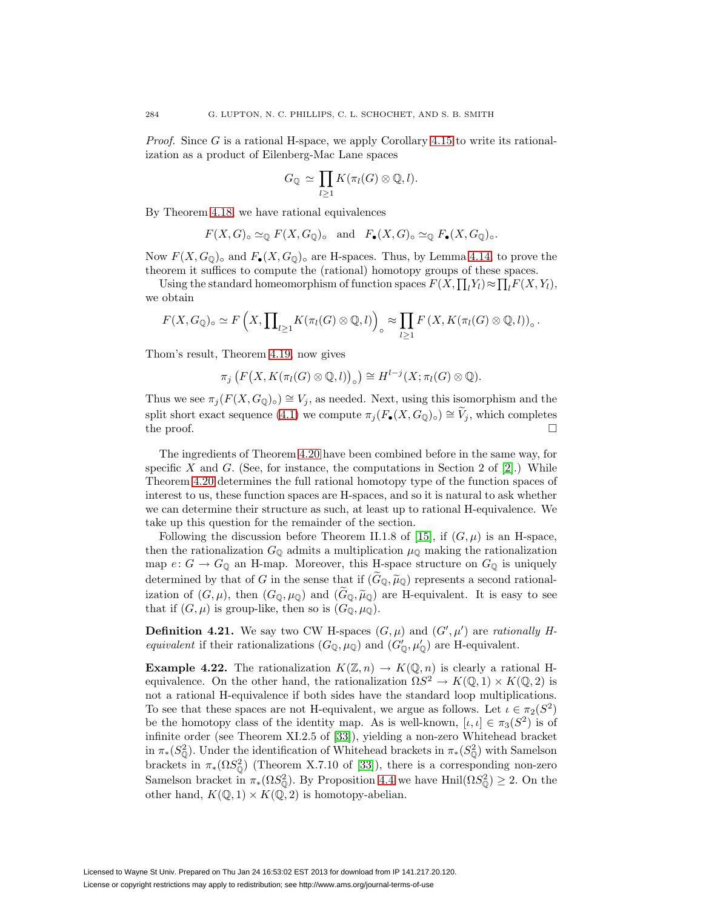*Proof.* Since G is a rational H-space, we apply Corollary [4.15](#page-15-2) to write its rationalization as a product of Eilenberg-Mac Lane spaces

$$
G_{\mathbb{Q}} \simeq \prod_{l \geq 1} K(\pi_l(G) \otimes \mathbb{Q}, l).
$$

By Theorem [4.18,](#page-16-0) we have rational equivalences

$$
F(X, G) \circ \simeq_{\mathbb{Q}} F(X, G_{\mathbb{Q}}) \circ \text{ and } F_{\bullet}(X, G) \circ \simeq_{\mathbb{Q}} F_{\bullet}(X, G_{\mathbb{Q}}) \circ.
$$

Now  $F(X, G_0)$ ° and  $F_{\bullet}(X, G_0)$ ° are H-spaces. Thus, by Lemma [4.14,](#page-15-1) to prove the theorem it suffices to compute the (rational) homotopy groups of these spaces.

Using the standard homeomorphism of function spaces  $F(X, \prod_l Y_l) \approx \prod_l F(X, Y_l)$ , we obtain

$$
F(X, G_{\mathbb{Q}})_{\circ} \simeq F\left(X, \prod_{l \geq 1} K(\pi_l(G) \otimes \mathbb{Q}, l)\right)_{\circ} \approx \prod_{l \geq 1} F\left(X, K(\pi_l(G) \otimes \mathbb{Q}, l)\right)_{\circ}.
$$

Thom's result, Theorem [4.19,](#page-16-1) now gives

$$
\pi_j\left(F\big(X, K(\pi_l(G)\otimes\mathbb{Q},l)\big)_\circ\right)\cong H^{l-j}(X; \pi_l(G)\otimes\mathbb{Q}).
$$

Thus we see  $\pi_j(F(X,G_{\mathbb{Q}})_{\circ}) \cong V_j$ , as needed. Next, using this isomorphism and the split short exact sequence [\(4.1\)](#page-13-1) we compute  $\pi_j(F_{\bullet}(X, G_{\mathbb{Q}})_{\circ}) \cong V_j$ , which completes the proof. the proof.  $\Box$ 

The ingredients of Theorem [4.20](#page-16-2) have been combined before in the same way, for specific X and G. (See, for instance, the computations in Section 2 of  $[2]$ .) While Theorem [4.20](#page-16-2) determines the full rational homotopy type of the function spaces of interest to us, these function spaces are H-spaces, and so it is natural to ask whether we can determine their structure as such, at least up to rational H-equivalence. We take up this question for the remainder of the section.

Following the discussion before Theorem II.1.8 of [\[15\]](#page-27-17), if  $(G, \mu)$  is an H-space, then the rationalization  $G_{\mathbb{Q}}$  admits a multiplication  $\mu_{\mathbb{Q}}$  making the rationalization map  $e: G \to G_{\mathbb{Q}}$  an H-map. Moreover, this H-space structure on  $G_{\mathbb{Q}}$  is uniquely determined by that of G in the sense that if  $(G_{\mathbb{Q}}, \widetilde{\mu}_{\mathbb{Q}})$  represents a second rationalization of  $(G, \mu)$ , then  $(G_{\mathbb{Q}}, \mu_{\mathbb{Q}})$  and  $(\widetilde{G}_{\mathbb{Q}}, \widetilde{\mu}_{\mathbb{Q}})$  are H-equivalent. It is easy to see that if  $(G, \mu)$  is group-like, then so is  $(G_{\mathbb{Q}}, \mu_{\mathbb{Q}})$ .

**Definition 4.21.** We say two CW H-spaces  $(G, \mu)$  and  $(G', \mu')$  are rationally Hequivalent if their rationalizations  $(G_{\mathbb{Q}}, \mu_{\mathbb{Q}})$  and  $(G'_{\mathbb{Q}}, \mu'_{\mathbb{Q}})$  are H-equivalent.

<span id="page-17-0"></span>**Example 4.22.** The rationalization  $K(\mathbb{Z}, n) \to K(\mathbb{Q}, n)$  is clearly a rational Hequivalence. On the other hand, the rationalization  $\Omega S^2 \to K(\mathbb{Q},1) \times K(\mathbb{Q},2)$  is not a rational H-equivalence if both sides have the standard loop multiplications. To see that these spaces are not H-equivalent, we argue as follows. Let  $\iota \in \pi_2(S^2)$ be the homotopy class of the identity map. As is well-known,  $[\iota, \iota] \in \pi_3(S^2)$  is of infinite order (see Theorem XI.2.5 of [\[33\]](#page-28-3)), yielding a non-zero Whitehead bracket in  $\pi_*(S^2_{\mathbb{Q}})$ . Under the identification of Whitehead brackets in  $\pi_*(S^2_{\mathbb{Q}})$  with Samelson brackets in  $\pi_*(\Omega S^2_{\mathbb{Q}})$  (Theorem X.7.10 of [\[33\]](#page-28-3)), there is a corresponding non-zero Samelson bracket in  $\pi_*(\Omega S^2_{\mathbb{Q}})$ . By Proposition [4.4](#page-11-3) we have Hnil $(\Omega S^2_{\mathbb{Q}}) \geq 2$ . On the other hand,  $K(\mathbb{Q}, 1) \times K(\mathbb{Q}, 2)$  is homotopy-abelian.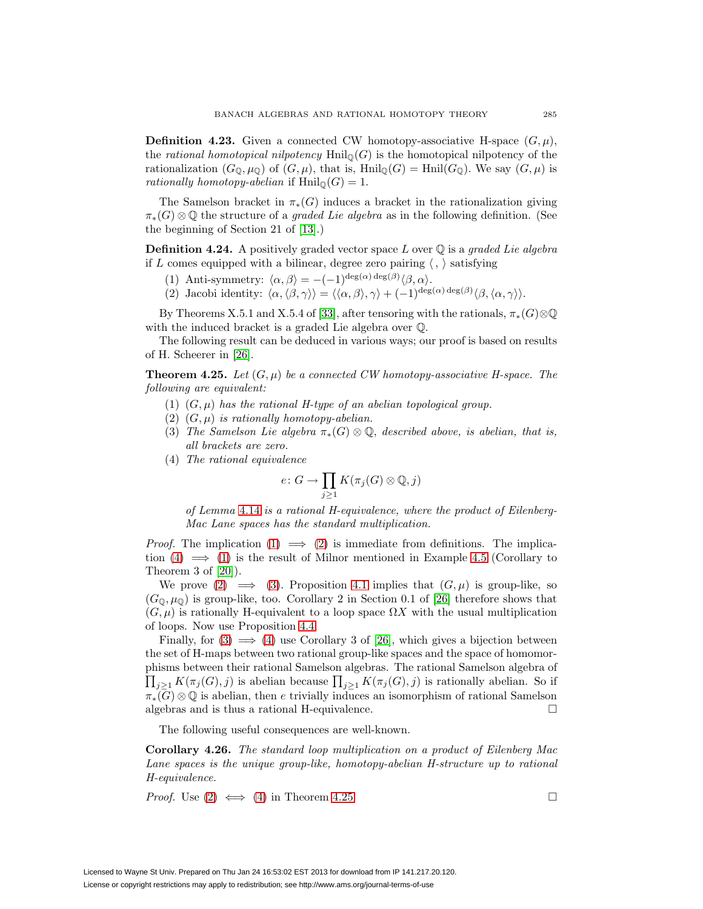**Definition 4.23.** Given a connected CW homotopy-associative H-space  $(G, \mu)$ , the rational homotopical nilpotency  $\text{Hnil}_{\mathbb{Q}}(G)$  is the homotopical nilpotency of the rationalization  $(G_{\mathbb{Q}}, \mu_{\mathbb{Q}})$  of  $(G, \mu)$ , that is, Hnil<sub>Q</sub> $(G) = \text{Hnil}(G_{\mathbb{Q}})$ . We say  $(G, \mu)$  is rationally homotopy-abelian if  $\text{Hnil}_{\mathbb{Q}}(G)=1$ .

The Samelson bracket in  $\pi_*(G)$  induces a bracket in the rationalization giving  $\pi_*(G) \otimes \mathbb{Q}$  the structure of a *graded Lie algebra* as in the following definition. (See the beginning of Section 21 of [\[13\]](#page-27-20).)

<span id="page-18-6"></span>**Definition 4.24.** A positively graded vector space  $L$  over  $\mathbb{Q}$  is a graded Lie algebra if L comes equipped with a bilinear, degree zero pairing  $\langle , \rangle$  satisfying

- (1) Anti-symmetry:  $\langle \alpha, \beta \rangle = -(-1)^{\deg(\alpha) \deg(\beta)} \langle \beta, \alpha \rangle$ .
- (2) Jacobi identity:  $\langle \alpha, \langle \beta, \gamma \rangle \rangle = \langle \langle \alpha, \beta \rangle, \gamma \rangle + (-1)^{\deg(\alpha) \deg(\beta)} \langle \beta, \langle \alpha, \gamma \rangle \rangle$ .

By Theorems X.5.1 and X.5.4 of [\[33\]](#page-28-3), after tensoring with the rationals,  $\pi_*(G) \otimes \mathbb{Q}$ with the induced bracket is a graded Lie algebra over Q.

<span id="page-18-5"></span>The following result can be deduced in various ways; our proof is based on results of H. Scheerer in [\[26\]](#page-27-19).

<span id="page-18-4"></span><span id="page-18-2"></span><span id="page-18-1"></span>**Theorem 4.25.** Let  $(G, \mu)$  be a connected CW homotopy-associative H-space. The following are equivalent:

- (1)  $(G, \mu)$  has the rational H-type of an abelian topological group.
- (2)  $(G, \mu)$  is rationally homotopy-abelian.
- <span id="page-18-3"></span>(3) The Samelson Lie algebra  $\pi_*(G) \otimes \mathbb{Q}$ , described above, is abelian, that is, all brackets are zero.
- (4) The rational equivalence

$$
e\colon G\to \prod_{j\geq 1}K(\pi_j(G)\otimes \mathbb{Q},j)
$$

of Lemma [4.14](#page-15-1) is a rational H-equivalence, where the product of Eilenberg-Mac Lane spaces has the standard multiplication.

*Proof.* The implication [\(1\)](#page-18-1)  $\implies$  [\(2\)](#page-18-2) is immediate from definitions. The implication  $(4) \implies (1)$  $(4) \implies (1)$  $(4) \implies (1)$  is the result of Milnor mentioned in Example [4.5](#page-11-0) (Corollary to Theorem 3 of [\[20\]](#page-27-0)).

We prove  $(2) \implies (3)$  $(2) \implies (3)$  $(2) \implies (3)$ . Proposition [4.1](#page-11-2) implies that  $(G,\mu)$  is group-like, so  $(G_0, \mu_0)$  is group-like, too. Corollary 2 in Section 0.1 of [\[26\]](#page-27-19) therefore shows that  $(G, \mu)$  is rationally H-equivalent to a loop space  $\Omega X$  with the usual multiplication of loops. Now use Proposition [4.4.](#page-11-3)

Finally, for  $(3) \implies (4)$  $(3) \implies (4)$  $(3) \implies (4)$  use Corollary 3 of [\[26\]](#page-27-19), which gives a bijection between the set of H-maps between two rational group-like spaces and the space of homomorphisms between their rational Samelson algebras. The rational Samelson algebra of  $\prod_{j\geq 1} K(\pi_j(G), j)$  is abelian because  $\prod_{j\geq 1} K(\pi_j(G), j)$  is rationally abelian. So if  $\pi_*(G) \otimes \mathbb{Q}$  is abelian, then e trivially induces an isomorphism of rational Samelson algebras and is thus a rational H-equivalence. algebras and is thus a rational H-equivalence.

The following useful consequences are well-known.

<span id="page-18-0"></span>**Corollary 4.26.** The standard loop multiplication on a product of Eilenberg Mac Lane spaces is the unique group-like, homotopy-abelian H-structure up to rational H-equivalence.

*Proof.* Use (2) 
$$
\iff
$$
 (4) in Theorem 4.25.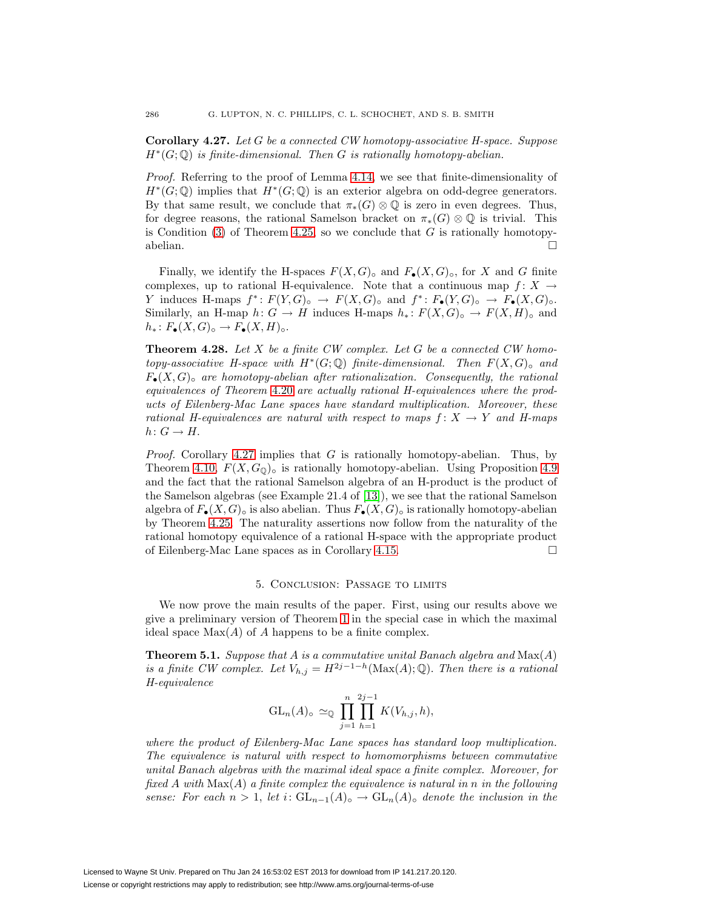<span id="page-19-0"></span>**Corollary 4.27.** Let G be a connected CW homotopy-associative H-space. Suppose  $H^*(G; \mathbb{Q})$  is finite-dimensional. Then G is rationally homotopy-abelian.

Proof. Referring to the proof of Lemma [4.14,](#page-15-1) we see that finite-dimensionality of  $H^*(G; \mathbb{Q})$  implies that  $H^*(G; \mathbb{Q})$  is an exterior algebra on odd-degree generators. By that same result, we conclude that  $\pi_*(G) \otimes \mathbb{O}$  is zero in even degrees. Thus, for degree reasons, the rational Samelson bracket on  $\pi_*(G) \otimes \mathbb{Q}$  is trivial. This is Condition  $(3)$  of Theorem [4.25,](#page-18-5) so we conclude that G is rationally homotopyabelian.  $\Box$ 

Finally, we identify the H-spaces  $F(X, G)_{\text{o}}$  and  $F_{\bullet}(X, G)_{\text{o}}$ , for X and G finite complexes, up to rational H-equivalence. Note that a continuous map  $f: X \to$ Y induces H-maps  $f^*: F(Y,G)_\circ \to F(X,G)_\circ$  and  $f^*: F_{\bullet}(Y,G)_\circ \to F_{\bullet}(X,G)_\circ$ . Similarly, an H-map  $h: G \to H$  induces H-maps  $h_*: F(X, G) \to F(X, H)$ <sup>o</sup> and  $h_*: F_{\bullet}(X, G)_{\circ} \to F_{\bullet}(X, H)_{\circ}.$ 

<span id="page-19-2"></span>**Theorem 4.28.** Let X be a finite CW complex. Let G be a connected CW homotopy-associative H-space with  $H^*(G; \mathbb{Q})$  finite-dimensional. Then  $F(X, G)_{\circ}$  and  $F_{\bullet}(X, G)_{\circ}$  are homotopy-abelian after rationalization. Consequently, the rational equivalences of Theorem [4.20](#page-16-2) are actually rational H-equivalences where the products of Eilenberg-Mac Lane spaces have standard multiplication. Moreover, these rational H-equivalences are natural with respect to maps  $f: X \rightarrow Y$  and H-maps  $h: G \to H$ .

*Proof.* Corollary [4.27](#page-19-0) implies that  $G$  is rationally homotopy-abelian. Thus, by Theorem [4.10,](#page-13-0)  $F(X, G_0)$ <sub>o</sub> is rationally homotopy-abelian. Using Proposition [4.9](#page-12-3) and the fact that the rational Samelson algebra of an H-product is the product of the Samelson algebras (see Example 21.4 of [\[13\]](#page-27-20)), we see that the rational Samelson algebra of  $F_{\bullet}(X, G)_{\circ}$  is also abelian. Thus  $F_{\bullet}(X, G)_{\circ}$  is rationally homotopy-abelian by Theorem [4.25.](#page-18-5) The naturality assertions now follow from the naturality of the rational homotopy equivalence of a rational H-space with the appropriate product of Eilenberg-Mac Lane spaces as in Corollary [4.15.](#page-15-2)

#### 5. Conclusion: Passage to limits

<span id="page-19-1"></span>We now prove the main results of the paper. First, using our results above we give a preliminary version of Theorem [1](#page-1-0) in the special case in which the maximal ideal space  $Max(A)$  of A happens to be a finite complex.

<span id="page-19-3"></span>**Theorem 5.1.** Suppose that  $A$  is a commutative unital Banach algebra and  $Max(A)$ is a finite CW complex. Let  $V_{h,j} = H^{2j-1-h}(\text{Max}(A); \mathbb{Q})$ . Then there is a rational H-equivalence

$$
\operatorname{GL}_n(A)_{\circ} \simeq_{\mathbb{Q}} \prod_{j=1}^n \prod_{h=1}^{2j-1} K(V_{h,j}, h),
$$

where the product of Eilenberg-Mac Lane spaces has standard loop multiplication. The equivalence is natural with respect to homomorphisms between commutative unital Banach algebras with the maximal ideal space a finite complex. Moreover, for fixed A with  $Max(A)$  a finite complex the equivalence is natural in n in the following sense: For each  $n > 1$ , let i:  $GL_{n-1}(A)_{\circ} \to GL_n(A)_{\circ}$  denote the inclusion in the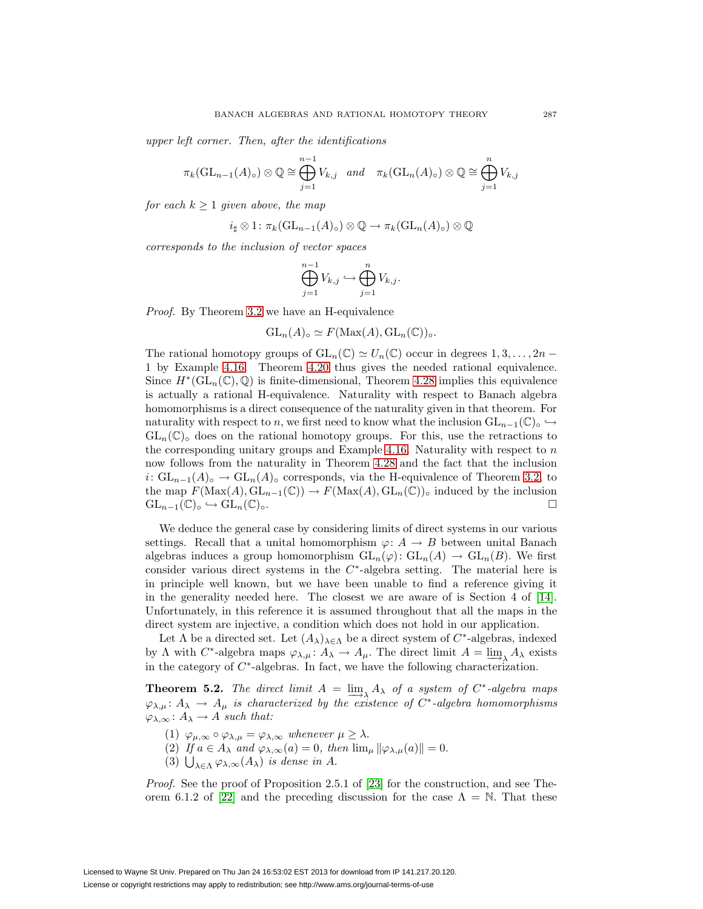upper left corner. Then, after the identifications

$$
\pi_k(\mathrm{GL}_{n-1}(A)_{\circ}) \otimes \mathbb{Q} \cong \bigoplus_{j=1}^{n-1} V_{k,j} \quad and \quad \pi_k(\mathrm{GL}_n(A)_{\circ}) \otimes \mathbb{Q} \cong \bigoplus_{j=1}^n V_{k,j}
$$

for each  $k \geq 1$  given above, the map

$$
i_{\sharp} \otimes 1 \colon \pi_k(\operatorname{GL}_{n-1}(A)_{\circ}) \otimes \mathbb{Q} \to \pi_k(\operatorname{GL}_n(A)_{\circ}) \otimes \mathbb{Q}
$$

corresponds to the inclusion of vector spaces

$$
\bigoplus_{j=1}^{n-1} V_{k,j} \hookrightarrow \bigoplus_{j=1}^{n} V_{k,j}.
$$

Proof. By Theorem [3.2](#page-8-2) we have an H-equivalence

$$
\operatorname{GL}_n(A)_{\circ} \simeq F(\operatorname{Max}(A), \operatorname{GL}_n(\mathbb{C}))_{\circ}.
$$

The rational homotopy groups of  $GL_n(\mathbb{C}) \simeq U_n(\mathbb{C})$  occur in degrees  $1, 3, \ldots, 2n -$ 1 by Example [4.16.](#page-15-0) Theorem [4.20](#page-16-2) thus gives the needed rational equivalence. Since  $H^*(\mathrm{GL}_n(\mathbb{C}),\mathbb{Q})$  is finite-dimensional, Theorem [4.28](#page-19-2) implies this equivalence is actually a rational H-equivalence. Naturality with respect to Banach algebra homomorphisms is a direct consequence of the naturality given in that theorem. For naturality with respect to n, we first need to know what the inclusion  $GL_{n-1}(\mathbb{C})\circ \hookrightarrow$  $GL_n(\mathbb{C})_0$  does on the rational homotopy groups. For this, use the retractions to the corresponding unitary groups and Example [4.16.](#page-15-0) Naturality with respect to  $n$ now follows from the naturality in Theorem [4.28](#page-19-2) and the fact that the inclusion  $i: GL_{n-1}(A)_{\circ} \to GL_n(A)_{\circ}$  corresponds, via the H-equivalence of Theorem [3.2,](#page-8-2) to the map  $F(\text{Max}(A), \text{GL}_{n-1}(\mathbb{C})) \to F(\text{Max}(A), \text{GL}_n(\mathbb{C}))$ <sub>o</sub> induced by the inclusion  $\text{GL}_{n-1}(\mathbb{C})_0 \hookrightarrow \text{GL}_n(\mathbb{C})_0$ .  $\mathrm{GL}_{n-1}(\mathbb{C})_{\circ} \hookrightarrow \mathrm{GL}_n(\mathbb{C})_{\circ}.$ 

We deduce the general case by considering limits of direct systems in our various settings. Recall that a unital homomorphism  $\varphi: A \to B$  between unital Banach algebras induces a group homomorphism  $GL_n(\varphi): GL_n(A) \to GL_n(B)$ . We first consider various direct systems in the  $C^*$ -algebra setting. The material here is in principle well known, but we have been unable to find a reference giving it in the generality needed here. The closest we are aware of is Section 4 of [\[14\]](#page-27-23). Unfortunately, in this reference it is assumed throughout that all the maps in the direct system are injective, a condition which does not hold in our application.

Let  $\Lambda$  be a directed set. Let  $(A_{\lambda})_{\lambda \in \Lambda}$  be a direct system of  $C^*$ -algebras, indexed by  $\Lambda$  with  $C^*$ -algebra maps  $\varphi_{\lambda,\mu} : A_{\lambda} \to A_{\mu}$ . The direct limit  $A = \underline{\lim}_{\lambda} A_{\lambda}$  exists in the category of C∗-algebras. In fact, we have the following characterization.

<span id="page-20-1"></span><span id="page-20-0"></span>**Theorem 5.2.** The direct limit  $A = \lim_{\lambda \to \infty} A_{\lambda}$  of a system of  $C^*$ -algebra maps  $\varphi_{\lambda,\mu} \colon A_{\lambda} \to A_{\mu}$  is characterized by the existence of  $C^*$ -algebra homomorphisms  $\varphi_{\lambda,\infty} : A_{\lambda} \to A$  such that:

- (1)  $\varphi_{\mu,\infty} \circ \varphi_{\lambda,\mu} = \varphi_{\lambda,\infty}$  whenever  $\mu \geq \lambda$ .
- (2) If  $a \in A_\lambda$  and  $\varphi_{\lambda,\infty}(a) = 0$ , then  $\lim_{\mu} ||\varphi_{\lambda,\mu}(a)|| = 0$ .
- (3)  $\bigcup_{\lambda \in \Lambda} \varphi_{\lambda,\infty}(A_{\lambda})$  is dense in A.

<span id="page-20-3"></span><span id="page-20-2"></span>Proof. See the proof of Proposition 2.5.1 of [\[23\]](#page-27-24) for the construction, and see The-orem 6.1.2 of [\[22\]](#page-27-9) and the preceding discussion for the case  $\Lambda = \mathbb{N}$ . That these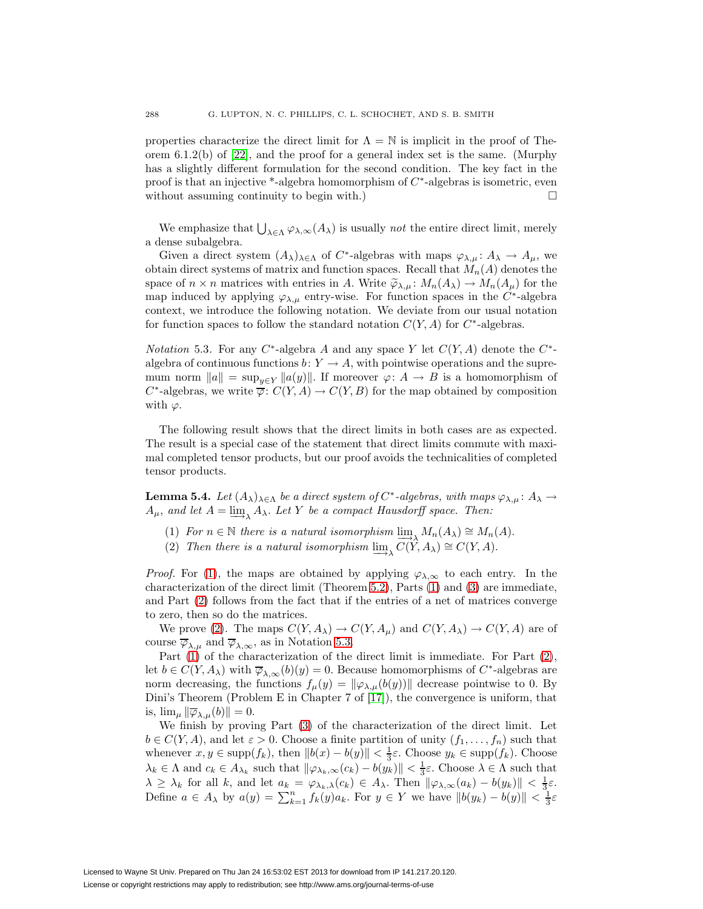properties characterize the direct limit for  $\Lambda = \mathbb{N}$  is implicit in the proof of Theorem 6.1.2(b) of [\[22\]](#page-27-9), and the proof for a general index set is the same. (Murphy has a slightly different formulation for the second condition. The key fact in the proof is that an injective \*-algebra homomorphism of  $C^*$ -algebras is isometric, even without assuming continuity to begin with.)  $\Box$ 

We emphasize that  $\bigcup_{\lambda \in \Lambda} \varphi_{\lambda,\infty}(A_{\lambda})$  is usually *not* the entire direct limit, merely a dense subalgebra.

Given a direct system  $(A_{\lambda})_{\lambda \in \Lambda}$  of C<sup>\*</sup>-algebras with maps  $\varphi_{\lambda,\mu} : A_{\lambda} \to A_{\mu}$ , we obtain direct systems of matrix and function spaces. Recall that  $M_n(A)$  denotes the space of  $n \times n$  matrices with entries in A. Write  $\tilde{\varphi}_{\lambda,\mu}$ :  $M_n(A_{\lambda}) \to M_n(A_{\mu})$  for the map induced by applying  $\varphi_{\lambda,\mu}$  entry-wise. For function spaces in the C<sup>\*</sup>-algebra context, we introduce the following notation. We deviate from our usual notation for function spaces to follow the standard notation  $C(Y, A)$  for  $C^*$ -algebras.

<span id="page-21-2"></span>*Notation* 5.3. For any  $C^*$ -algebra A and any space Y let  $C(Y, A)$  denote the  $C^*$ algebra of continuous functions  $b: Y \to A$ , with pointwise operations and the supremum norm  $||a|| = \sup_{y \in Y} ||a(y)||$ . If moreover  $\varphi: A \to B$  is a homomorphism of  $C^*$ -algebras, we write  $\overline{\varphi}$ :  $C(Y, A) \to C(Y, B)$  for the map obtained by composition with  $\varphi$ .

The following result shows that the direct limits in both cases are as expected. The result is a special case of the statement that direct limits commute with maximal completed tensor products, but our proof avoids the technicalities of completed tensor products.

<span id="page-21-3"></span><span id="page-21-0"></span>**Lemma 5.4.** Let  $(A_{\lambda})_{\lambda \in \Lambda}$  be a direct system of  $C^*$ -algebras, with maps  $\varphi_{\lambda,\mu} : A_{\lambda} \to$  $A_{\mu}$ , and let  $A = \lim_{\lambda \to \infty} A_{\lambda}$ . Let Y be a compact Hausdorff space. Then:

- (1) For  $n \in \mathbb{N}$  there is a natural isomorphism  $\lim_{n \to \infty} M_n(A_\lambda) \cong M_n(A)$ .
- (2) Then there is a natural isomorphism  $\varinjlim C(\widetilde{Y},A_\lambda) \cong C(Y,A)$ .

<span id="page-21-1"></span>*Proof.* For [\(1\)](#page-21-0), the maps are obtained by applying  $\varphi_{\lambda,\infty}$  to each entry. In the characterization of the direct limit (Theorem [5.2\)](#page-20-0), Parts [\(1\)](#page-20-1) and [\(3\)](#page-20-2) are immediate, and Part [\(2\)](#page-20-3) follows from the fact that if the entries of a net of matrices converge to zero, then so do the matrices.

We prove [\(2\)](#page-21-1). The maps  $C(Y, A_\lambda) \to C(Y, A_\mu)$  and  $C(Y, A_\lambda) \to C(Y, A)$  are of course  $\overline{\varphi}_{\lambda,\mu}$  and  $\overline{\varphi}_{\lambda,\infty}$ , as in Notation [5.3.](#page-21-2)

Part [\(1\)](#page-20-1) of the characterization of the direct limit is immediate. For Part [\(2\)](#page-20-3), let  $b \in C(Y, A_\lambda)$  with  $\overline{\varphi}_{\lambda,\infty}(b)(y)=0$ . Because homomorphisms of C<sup>\*</sup>-algebras are norm decreasing, the functions  $f_{\mu}(y) = ||\varphi_{\lambda,\mu}(b(y))||$  decrease pointwise to 0. By Dini's Theorem (Problem E in Chapter 7 of [\[17\]](#page-27-25)), the convergence is uniform, that is,  $\lim_{\mu} \|\overline{\varphi}_{\lambda,\mu}(b)\| = 0.$ 

We finish by proving Part [\(3\)](#page-20-2) of the characterization of the direct limit. Let  $b \in C(Y, A)$ , and let  $\varepsilon > 0$ . Choose a finite partition of unity  $(f_1, \ldots, f_n)$  such that whenever  $x, y \in \text{supp}(f_k)$ , then  $||b(x) - b(y)|| < \frac{1}{3}\varepsilon$ . Choose  $y_k \in \text{supp}(f_k)$ . Choose  $\lambda_k \in \Lambda$  and  $c_k \in A_{\lambda_k}$  such that  $\|\varphi_{\lambda_k,\infty}(c_k) - b(y_k)\| < \frac{1}{3}\varepsilon$ . Choose  $\lambda \in \Lambda$  such that  $\lambda \geq \lambda_k$  for all k, and let  $a_k = \varphi_{\lambda_k,\lambda}(c_k) \in A_\lambda$ . Then  $\|\varphi_{\lambda,\infty}(a_k) - b(y_k)\| < \frac{1}{3}\varepsilon$ . Define  $a \in A_\lambda$  by  $a(y) = \sum_{k=1}^n f_k(y)a_k$ . For  $y \in Y$  we have  $||b(y_k) - b(y)|| < \frac{1}{3}\varepsilon$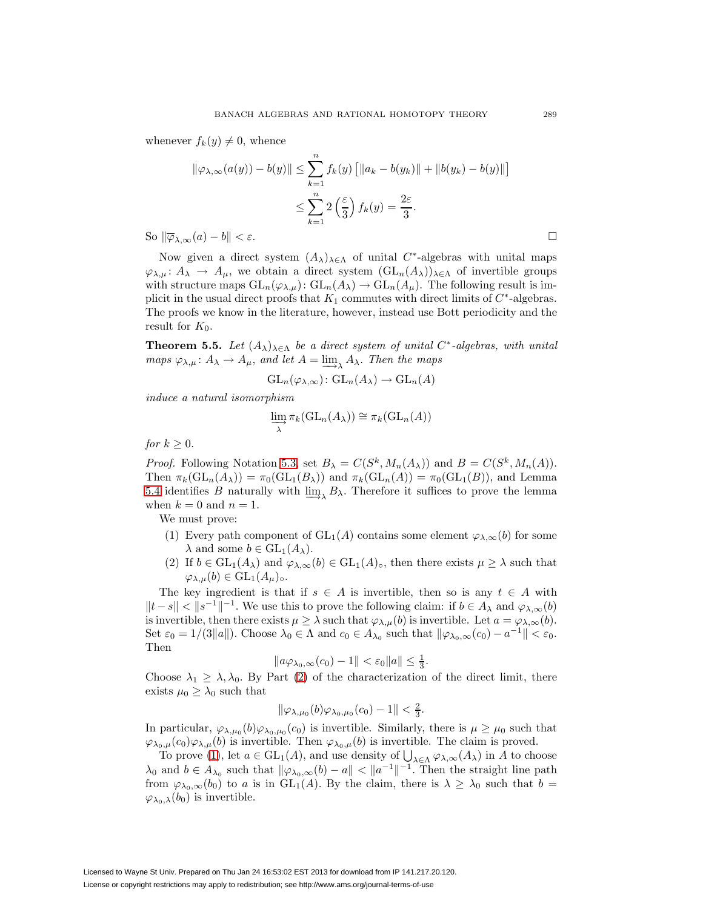whenever  $f_k(y) \neq 0$ , whence

$$
\|\varphi_{\lambda,\infty}(a(y)) - b(y)\| \le \sum_{k=1}^n f_k(y) \left[ \|a_k - b(y_k)\| + \|b(y_k) - b(y)\| \right]
$$
  

$$
\le \sum_{k=1}^n 2\left(\frac{\varepsilon}{3}\right) f_k(y) = \frac{2\varepsilon}{3}.
$$
  

$$
\log(a) - b\| < \varepsilon.
$$

So  $\|\overline{\varphi}_{\lambda,\infty}(a)-b\|$ 

Now given a direct system  $(A_{\lambda})_{\lambda \in \Lambda}$  of unital  $C^*$ -algebras with unital maps  $\varphi_{\lambda,\mu} : A_{\lambda} \to A_{\mu}$ , we obtain a direct system  $(\text{GL}_n(A_{\lambda}))_{\lambda \in \Lambda}$  of invertible groups with structure maps  $GL_n(\varphi_{\lambda,\mu})$ :  $GL_n(A_{\lambda}) \to GL_n(A_{\mu})$ . The following result is implicit in the usual direct proofs that  $K_1$  commutes with direct limits of  $C^*$ -algebras. The proofs we know in the literature, however, instead use Bott periodicity and the result for  $K_0$ .

<span id="page-22-2"></span>**Theorem 5.5.** Let  $(A_{\lambda})_{\lambda \in \Lambda}$  be a direct system of unital C<sup>\*</sup>-algebras, with unital maps  $\varphi_{\lambda,\mu} : A_{\lambda} \to A_{\mu}$ , and let  $A = \varinjlim_{\lambda} A_{\lambda}$ . Then the maps

$$
\operatorname{GL}_n(\varphi_{\lambda,\infty})\colon \operatorname{GL}_n(A_{\lambda}) \to \operatorname{GL}_n(A)
$$

induce a natural isomorphism

$$
\varinjlim_{\lambda} \pi_k(\mathbf{GL}_n(A_{\lambda})) \cong \pi_k(\mathbf{GL}_n(A))
$$

for  $k \geq 0$ .

*Proof.* Following Notation [5.3,](#page-21-2) set  $B_\lambda = C(S^k, M_n(A_\lambda))$  and  $B = C(S^k, M_n(A))$ . Then  $\pi_k(\text{GL}_n(A_\lambda)) = \pi_0(\text{GL}_1(B_\lambda))$  and  $\pi_k(\text{GL}_n(A)) = \pi_0(\text{GL}_1(B))$ , and Lemma [5.4](#page-21-3) identifies B naturally with  $\lim_{\longrightarrow_{\Lambda}} B_{\lambda}$ . Therefore it suffices to prove the lemma when  $k = 0$  and  $n = 1$ .

<span id="page-22-0"></span>We must prove:

- (1) Every path component of  $GL_1(A)$  contains some element  $\varphi_{\lambda,\infty}(b)$  for some  $\lambda$  and some  $b \in GL_1(A_\lambda)$ .
- (2) If  $b \in GL_1(A_\lambda)$  and  $\varphi_{\lambda,\infty}(b) \in GL_1(A)_{\circ}$ , then there exists  $\mu \geq \lambda$  such that  $\varphi_{\lambda,\mu}(b) \in GL_1(A_{\mu})_{\circ}.$

<span id="page-22-1"></span>The key ingredient is that if  $s \in A$  is invertible, then so is any  $t \in A$  with  $||t - s|| < ||s^{-1}||^{-1}$ . We use this to prove the following claim: if  $b \in A_\lambda$  and  $\varphi_{\lambda,\infty}(b)$ is invertible, then there exists  $\mu \geq \lambda$  such that  $\varphi_{\lambda,\mu}(b)$  is invertible. Let  $a = \varphi_{\lambda,\infty}(b)$ . Set  $\varepsilon_0 = 1/(3||a||)$ . Choose  $\lambda_0 \in \Lambda$  and  $c_0 \in A_{\lambda_0}$  such that  $\|\varphi_{\lambda_0,\infty}(c_0) - a^{-1}\| < \varepsilon_0$ . Then

$$
||a\varphi_{\lambda_0,\infty}(c_0)-1||<\varepsilon_0||a||\leq \frac{1}{3}.
$$

Choose  $\lambda_1 \geq \lambda, \lambda_0$ . By Part [\(2\)](#page-20-3) of the characterization of the direct limit, there exists  $\mu_0 \geq \lambda_0$  such that

$$
\|\varphi_{\lambda,\mu_0}(b)\varphi_{\lambda_0,\mu_0}(c_0)-1\|<\frac{2}{3}.
$$

In particular,  $\varphi_{\lambda,\mu_0}(b)\varphi_{\lambda_0,\mu_0}(c_0)$  is invertible. Similarly, there is  $\mu \geq \mu_0$  such that  $\varphi_{\lambda_0,\mu}(c_0)\varphi_{\lambda,\mu}(b)$  is invertible. Then  $\varphi_{\lambda_0,\mu}(b)$  is invertible. The claim is proved.

To prove [\(1\)](#page-22-0), let  $a \in GL_1(A)$ , and use density of  $\bigcup_{\lambda \in \Lambda} \varphi_{\lambda,\infty}(A_{\lambda})$  in A to choose  $\lambda_0$  and  $b \in A_{\lambda_0}$  such that  $\|\varphi_{\lambda_0,\infty}(b)-a\| < \|a^{-1}\|^{-1}$ . Then the straight line path from  $\varphi_{\lambda_0,\infty}(b_0)$  to a is in  $GL_1(A)$ . By the claim, there is  $\lambda \geq \lambda_0$  such that  $b =$  $\varphi_{\lambda_0,\lambda}(b_0)$  is invertible.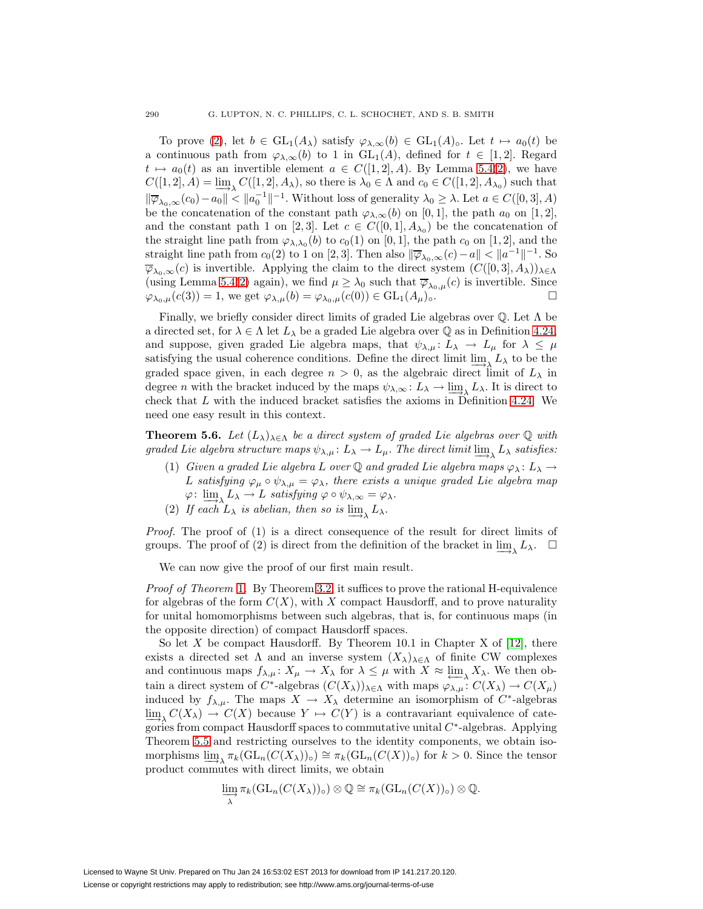To prove [\(2\)](#page-22-1), let  $b \in GL_1(A_\lambda)$  satisfy  $\varphi_{\lambda,\infty}(b) \in GL_1(A_\lambda)$ . Let  $t \mapsto a_0(t)$  be a continuous path from  $\varphi_{\lambda,\infty}(b)$  to 1 in  $GL_1(A)$ , defined for  $t \in [1,2]$ . Regard  $t \mapsto a_0(t)$  as an invertible element  $a \in C([1,2], A)$ . By Lemma [5.4](#page-21-3)[\(2\)](#page-21-1), we have  $C([1, 2], A) = \underline{\lim}_{\lambda} C([1, 2], A_{\lambda}),$  so there is  $\lambda_0 \in \Lambda$  and  $c_0 \in C([1, 2], A_{\lambda_0})$  such that  $\|\overline{\varphi}_{\lambda_0,\infty}(c_0)-a_0\|<\|a_0^{-1}\|^{-1}$ . Without loss of generality  $\lambda_0\geq \lambda$ . Let  $a\in C([0,3], A)$ be the concatenation of the constant path  $\varphi_{\lambda,\infty}(b)$  on [0, 1], the path  $a_0$  on [1, 2], and the constant path 1 on [2, 3]. Let  $c \in C([0,1], A_{\lambda_0})$  be the concatenation of the straight line path from  $\varphi_{\lambda,\lambda_0}(b)$  to  $c_0(1)$  on [0, 1], the path  $c_0$  on [1, 2], and the straight line path from  $c_0(2)$  to 1 on [2, 3]. Then also  $\|\overline{\varphi}_{\lambda_0,\infty}(c) - a\| < \|a^{-1}\|^{-1}$ . So  $\overline{\varphi}_{\lambda_0,\infty}(c)$  is invertible. Applying the claim to the direct system  $(C([0,3], A_\lambda))_{\lambda \in \Lambda}$ (using Lemma [5.4\(](#page-21-3)[2\)](#page-21-1) again), we find  $\mu \ge \lambda_0$  such that  $\overline{\varphi}_{\lambda_0,\mu}(c)$  is invertible. Since  $\varphi_{\lambda_0,\mu}(c(3)) = 1$ , we get  $\varphi_{\lambda,\mu}(b) = \varphi_{\lambda_0,\mu}(c(0)) \in \text{GL}_1(A_{\mu})_0$ .  $\varphi_{\lambda_0,\mu}(c(3)) = 1$ , we get  $\varphi_{\lambda,\mu}(b) = \varphi_{\lambda_0,\mu}(c(0)) \in \mathrm{GL}_1(A_\mu)_{\circ}.$ 

Finally, we briefly consider direct limits of graded Lie algebras over  $\mathbb{Q}$ . Let  $\Lambda$  be a directed set, for  $\lambda \in \Lambda$  let  $L_{\lambda}$  be a graded Lie algebra over Q as in Definition [4.24,](#page-18-6) and suppose, given graded Lie algebra maps, that  $\psi_{\lambda,\mu} : L_{\lambda} \to L_{\mu}$  for  $\lambda \leq \mu$ satisfying the usual coherence conditions. Define the direct limit  $\lim_{\to \infty} L_\lambda$  to be the graded space given, in each degree  $n > 0$ , as the algebraic direct limit of  $L_{\lambda}$  in degree *n* with the bracket induced by the maps  $\psi_{\lambda,\infty} : L_{\lambda} \to \underline{\lim}_{\lambda} L_{\lambda}$ . It is direct to check that L with the induced bracket satisfies the axioms in Definition [4.24.](#page-18-6) We need one easy result in this context.

<span id="page-23-0"></span>**Theorem 5.6.** Let  $(L_{\lambda})_{\lambda \in \Lambda}$  be a direct system of graded Lie algebras over  $\mathbb Q$  with graded Lie algebra structure maps  $\psi_{\lambda,\mu} : L_{\lambda} \to L_{\mu}$ . The direct limit lim<sub> $\lambda$ </sub> satisfies:

- (1) Given a graded Lie algebra L over  $\mathbb Q$  and graded Lie algebra maps  $\varphi_\lambda: L_\lambda \to$ L satisfying  $\varphi_{\mu} \circ \psi_{\lambda,\mu} = \varphi_{\lambda}$ , there exists a unique graded Lie algebra map  $\varphi: \lim_{\Delta \to \Delta} L_{\lambda} \to L$  satisfying  $\varphi \circ \psi_{\lambda,\infty} = \varphi_{\lambda}.$
- (2) If each  $L_{\lambda}$  is abelian, then so is  $\lim_{\lambda} L_{\lambda}$ .

Proof. The proof of (1) is a direct consequence of the result for direct limits of groups. The proof of (2) is direct from the definition of the bracket in  $\lim_{\lambda} L_{\lambda}$ .  $\square$ 

We can now give the proof of our first main result.

Proof of Theorem [1](#page-1-0). By Theorem [3.2,](#page-8-2) it suffices to prove the rational H-equivalence for algebras of the form  $C(X)$ , with X compact Hausdorff, and to prove naturality for unital homomorphisms between such algebras, that is, for continuous maps (in the opposite direction) of compact Hausdorff spaces.

So let X be compact Hausdorff. By Theorem 10.1 in Chapter X of  $[12]$ , there exists a directed set  $\Lambda$  and an inverse system  $(X_{\lambda})_{\lambda \in \Lambda}$  of finite CW complexes and continuous maps  $f_{\lambda,\mu}: X_{\mu} \to X_{\lambda}$  for  $\lambda \leq \mu$  with  $X \approx \varprojlim_{\lambda} X_{\lambda}$ . We then obtain a direct system of  $C^*$ -algebras  $(C(X_\lambda))_{\lambda \in \Lambda}$  with maps  $\varphi_{\lambda,\mu} : C(X_\lambda) \to C(X_\mu)$ induced by  $f_{\lambda,\mu}$ . The maps  $X \to X_{\lambda}$  determine an isomorphism of  $C^*$ -algebras  $\lim_{\lambda \to \infty} C(X_{\lambda}) \to C(X)$  because  $Y \to C(Y)$  is a contravariant equivalence of categories from compact Hausdorff spaces to commutative unital  $C^*$ -algebras. Applying Theorem [5.5](#page-22-2) and restricting ourselves to the identity components, we obtain isomorphisms  $\lim_{\lambda \to \infty} \pi_k(\mathrm{GL}_n(C(X_{\lambda}))_0) \cong \pi_k(\mathrm{GL}_n(C(X))_0)$  for  $k > 0$ . Since the tensor product commutes with direct limits, we obtain

$$
\varinjlim_{\lambda} \pi_k(\mathrm{GL}_n(C(X_{\lambda}))_{\circ}) \otimes \mathbb{Q} \cong \pi_k(\mathrm{GL}_n(C(X))_{\circ}) \otimes \mathbb{Q}.
$$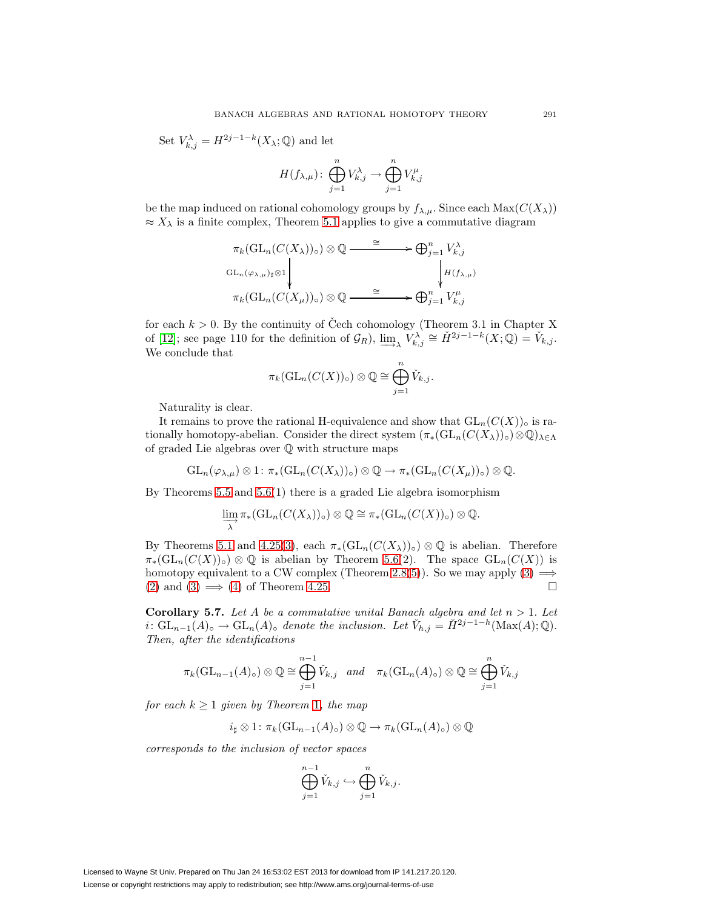Set  $V_{k,j}^{\lambda} = H^{2j-1-k}(X_{\lambda};\mathbb{Q})$  and let

$$
H(f_{\lambda,\mu})\colon \bigoplus_{j=1}^n V_{k,j}^{\lambda} \to \bigoplus_{j=1}^n V_{k,j}^{\mu}
$$

be the map induced on rational cohomology groups by  $f_{\lambda,\mu}$ . Since each  $\text{Max}(C(X_{\lambda}))$  $\approx X_{\lambda}$  is a finite complex, Theorem [5.1](#page-19-3) applies to give a commutative diagram

$$
\pi_k(\mathrm{GL}_n(C(X_{\lambda}))_0) \otimes \mathbb{Q} \xrightarrow{\cong} \bigoplus_{j=1}^n V_{k,j}^{\lambda}
$$
\n
$$
\mathrm{GL}_n(\varphi_{\lambda,\mu})_{\sharp} \otimes 1 \downarrow \qquad \qquad \downarrow \qquad \qquad \downarrow \qquad \qquad H(f_{\lambda,\mu})
$$
\n
$$
\pi_k(\mathrm{GL}_n(C(X_{\mu}))_0) \otimes \mathbb{Q} \xrightarrow{\cong} \bigoplus_{j=1}^n V_{k,j}^{\mu}
$$

for each  $k > 0$ . By the continuity of Čech cohomology (Theorem 3.1 in Chapter X of [\[12\]](#page-27-26); see page 110 for the definition of  $\mathcal{G}_R$ ),  $\lim_{n \to \infty} V_{k,j}^{\lambda} \cong \check{H}^{2j-1-k}(X; \mathbb{Q}) = \check{V}_{k,j}$ . We conclude that

$$
\pi_k(\mathrm{GL}_n(C(X))_{\circ})\otimes \mathbb{Q}\cong \bigoplus_{j=1}^n \check{V}_{k,j}.
$$

Naturality is clear.

It remains to prove the rational H-equivalence and show that  $GL_n(C(X))_o$  is rationally homotopy-abelian. Consider the direct system  $(\pi_*(\text{GL}_n(C(X_{\lambda}))\circ \mathbb{Q})_{\lambda\in\Lambda})$ of graded Lie algebras over Q with structure maps

$$
\mathrm{GL}_{n}(\varphi_{\lambda,\mu})\otimes 1\colon \pi_{*}(\mathrm{GL}_{n}(C(X_{\lambda}))_{\circ})\otimes \mathbb{Q}\to \pi_{*}(\mathrm{GL}_{n}(C(X_{\mu}))_{\circ})\otimes \mathbb{Q}.
$$

By Theorems [5.5](#page-22-2) and [5.6\(](#page-23-0)1) there is a graded Lie algebra isomorphism

$$
\varinjlim_{\lambda} \pi_*(\mathrm{GL}_n(C(X_{\lambda}))_{\circ}) \otimes \mathbb{Q} \cong \pi_*(\mathrm{GL}_n(C(X))_{\circ}) \otimes \mathbb{Q}.
$$

By Theorems [5.1](#page-19-3) and [4.25\(](#page-18-5)[3\)](#page-18-4), each  $\pi_*(\text{GL}_n(C(X_\lambda))_{\circ})\otimes\mathbb{Q}$  is abelian. Therefore  $\pi_*(\mathrm{GL}_n(C(X))_{\circ})\otimes\mathbb{Q}$  is abelian by Theorem [5.6\(](#page-23-0)2). The space  $\mathrm{GL}_n(C(X))$  is homotopy equivalent to a CW complex (Theorem [2.8](#page-5-6)[\(5\)](#page-5-4)). So we may apply [\(3\)](#page-18-4)  $\implies$ [\(2\)](#page-18-2) and [\(3\)](#page-18-4)  $\implies$  [\(4\)](#page-18-3) of Theorem [4.25.](#page-18-5)

<span id="page-24-0"></span>**Corollary 5.7.** Let A be a commutative unital Banach algebra and let  $n > 1$ . Let i:  $GL_{n-1}(A)$ ° →  $GL_n(A)$ ° denote the inclusion. Let  $\check{V}_{h,j} = \check{H}^{2j-1-h}(\text{Max}(A); \mathbb{Q})$ . Then, after the identifications

$$
\pi_k(\mathrm{GL}_{n-1}(A)_{\circ}) \otimes \mathbb{Q} \cong \bigoplus_{j=1}^{n-1} \check{V}_{k,j} \quad and \quad \pi_k(\mathrm{GL}_n(A)_{\circ}) \otimes \mathbb{Q} \cong \bigoplus_{j=1}^n \check{V}_{k,j}
$$

for each  $k \geq 1$  $k \geq 1$  given by Theorem 1, the map

$$
i_{\sharp} \otimes 1 \colon \pi_k(\mathrm{GL}_{n-1}(A)_{\circ}) \otimes \mathbb{Q} \to \pi_k(\mathrm{GL}_n(A)_{\circ}) \otimes \mathbb{Q}
$$

corresponds to the inclusion of vector spaces

$$
\bigoplus_{j=1}^{n-1} \check{V}_{k,j} \hookrightarrow \bigoplus_{j=1}^{n} \check{V}_{k,j}.
$$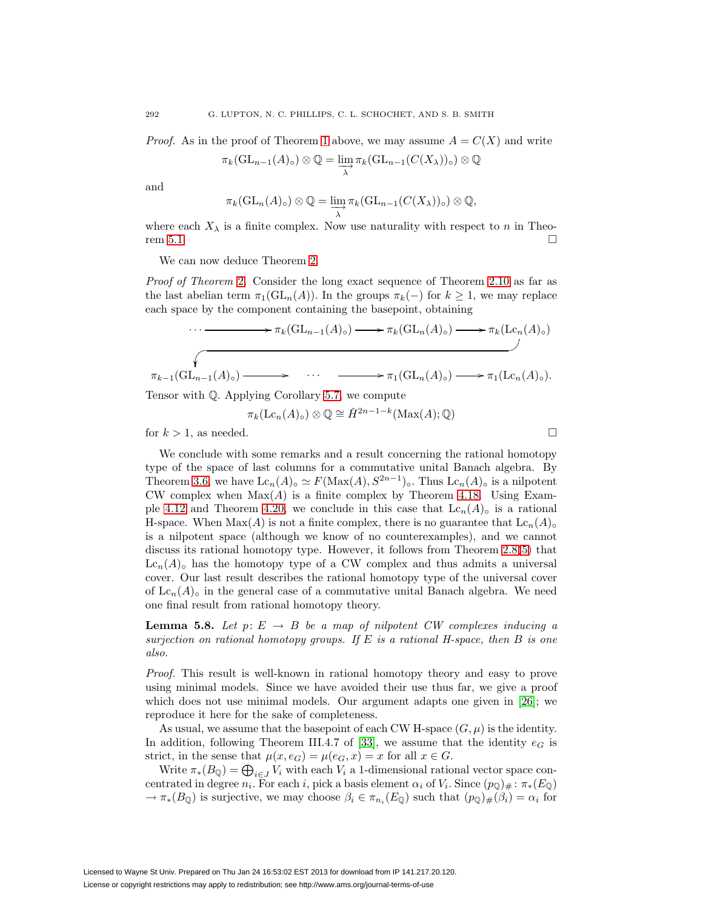*Proof.* As in the proof of Theorem [1](#page-1-0) above, we may assume  $A = C(X)$  and write

$$
\pi_k(\mathrm{GL}_{n-1}(A)_{\circ}) \otimes \mathbb{Q} = \varinjlim_{\lambda} \pi_k(\mathrm{GL}_{n-1}(C(X_{\lambda}))_{\circ}) \otimes \mathbb{Q}
$$

and

$$
\pi_k(\mathrm{GL}_n(A)_{\circ}) \otimes \mathbb{Q} = \varinjlim_{\lambda} \pi_k(\mathrm{GL}_{n-1}(C(X_{\lambda}))_{\circ}) \otimes \mathbb{Q},
$$

where each  $X_{\lambda}$  is a finite complex. Now use naturality with respect to n in Theo-rem [5.1.](#page-19-3)

We can now deduce Theorem [2.](#page-2-0)

Proof of Theorem [2](#page-2-0). Consider the long exact sequence of Theorem [2.10](#page-7-0) as far as the last abelian term  $\pi_1(\mathrm{GL}_n(A))$ . In the groups  $\pi_k(-)$  for  $k \geq 1$ , we may replace each space by the component containing the basepoint, obtaining

$$
\cdots \longrightarrow \pi_k(\mathrm{GL}_{n-1}(A)_\circ) \longrightarrow \pi_k(\mathrm{GL}_n(A)_\circ) \longrightarrow \pi_k(\mathrm{Lc}_n(A)_\circ)
$$
\n
$$
\pi_{k-1}(\mathrm{GL}_{n-1}(A)_\circ) \longrightarrow \cdots \longrightarrow \pi_1(\mathrm{GL}_n(A)_\circ) \longrightarrow \pi_1(\mathrm{Lc}_n(A)_\circ).
$$

Tensor with Q. Applying Corollary [5.7,](#page-24-0) we compute

 $\pi_k(\mathrm{Lc}_n(A)_\circ) \otimes \mathbb{Q} \cong \check{H}^{2n-1-k}(\mathrm{Max}(A); \mathbb{Q})$ 

for  $k > 1$ , as needed.

We conclude with some remarks and a result concerning the rational homotopy type of the space of last columns for a commutative unital Banach algebra. By Theorem [3.6,](#page-10-0) we have  $\text{Lc}_n(A) \circ \simeq F(\text{Max}(A), S^{2n-1}) \circ$ . Thus  $\text{Lc}_n(A) \circ$  is a nilpotent CW complex when  $Max(A)$  is a finite complex by Theorem [4.18.](#page-16-0) Using Exam-ple [4.12](#page-14-2) and Theorem [4.20,](#page-16-2) we conclude in this case that  $Lc_n(A)$ <sub>o</sub> is a rational H-space. When Max(A) is not a finite complex, there is no guarantee that  $Lc_n(A)_{\circ}$ is a nilpotent space (although we know of no counterexamples), and we cannot discuss its rational homotopy type. However, it follows from Theorem [2.8\(](#page-5-6)[5\)](#page-5-4) that  $Lc_n(A)$ <sub>o</sub> has the homotopy type of a CW complex and thus admits a universal cover. Our last result describes the rational homotopy type of the universal cover of  $\text{Lc}_n(A)$ <sub>o</sub> in the general case of a commutative unital Banach algebra. We need one final result from rational homotopy theory.

<span id="page-25-0"></span>**Lemma 5.8.** Let  $p: E \to B$  be a map of nilpotent CW complexes inducing a surjection on rational homotopy groups. If  $E$  is a rational H-space, then  $B$  is one also.

Proof. This result is well-known in rational homotopy theory and easy to prove using minimal models. Since we have avoided their use thus far, we give a proof which does not use minimal models. Our argument adapts one given in [\[26\]](#page-27-19); we reproduce it here for the sake of completeness.

As usual, we assume that the basepoint of each CW H-space  $(G, \mu)$  is the identity. In addition, following Theorem III.4.7 of [\[33\]](#page-28-3), we assume that the identity  $e_G$  is strict, in the sense that  $\mu(x, e_G) = \mu(e_G, x) = x$  for all  $x \in G$ .

Write  $\pi_*(B_{\mathbb{Q}}) = \bigoplus_{i \in J} V_i$  with each  $V_i$  a 1-dimensional rational vector space concentrated in degree  $n_i$ . For each i, pick a basis element  $\alpha_i$  of  $V_i$ . Since  $(p_{\mathbb{Q}})_\#$ :  $\pi_*(E_{\mathbb{Q}})$  $\rightarrow \pi_*(B_{\mathbb{Q}})$  is surjective, we may choose  $\beta_i \in \pi_{n_i}(E_{\mathbb{Q}})$  such that  $(p_{\mathbb{Q}})_\#(\beta_i) = \alpha_i$  for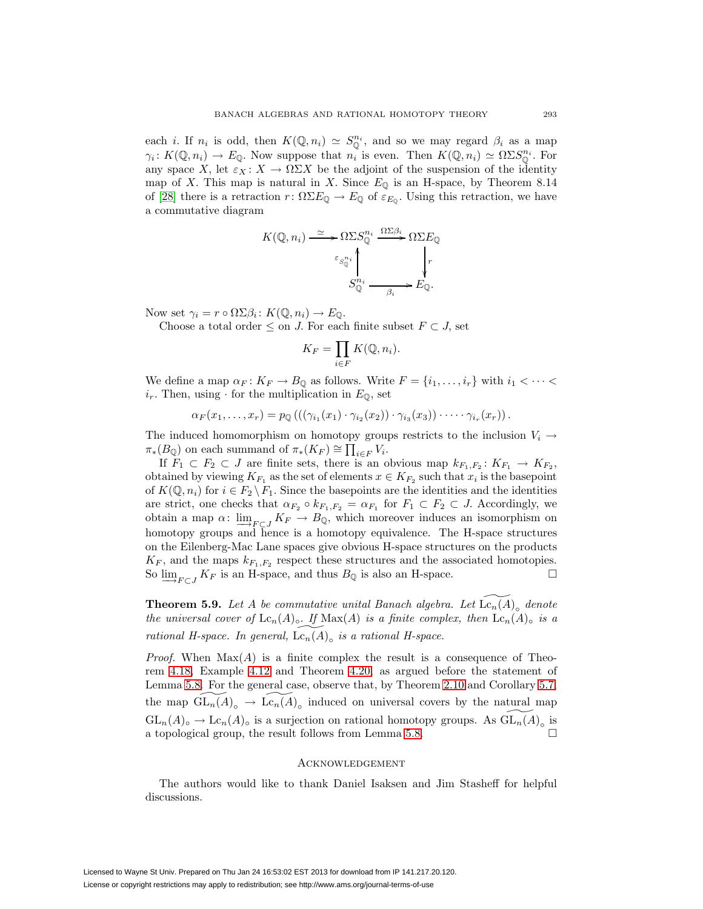each *i*. If  $n_i$  is odd, then  $K(\mathbb{Q}, n_i) \simeq S_{\mathbb{Q}}^{n_i}$ , and so we may regard  $\beta_i$  as a map  $\gamma_i: K(\mathbb{Q}, n_i) \to E_{\mathbb{Q}}$ . Now suppose that  $n_i$  is even. Then  $K(\mathbb{Q}, n_i) \simeq \Omega \Sigma S_{\mathbb{Q}}^{n_i}$ . For any space X, let  $\varepsilon_X : X \to \Omega \Sigma X$  be the adjoint of the suspension of the identity map of X. This map is natural in X. Since  $E_{\mathbb{Q}}$  is an H-space, by Theorem 8.14 of [\[28\]](#page-28-5) there is a retraction  $r: \Omega \Sigma E_{\mathbb{Q}} \to E_{\mathbb{Q}}$  of  $\varepsilon_{E_{\mathbb{Q}}}$ . Using this retraction, we have a commutative diagram

$$
K(\mathbb{Q}, n_i) \xrightarrow{\simeq} \Omega \Sigma S_{\mathbb{Q}}^{n_i} \xrightarrow{\Omega \Sigma \beta_i} \Omega \Sigma E_{\mathbb{Q}}
$$

$$
\varepsilon_{S_{\mathbb{Q}}^{n_i}} \wedge \vphantom{\sum_{\mathbb{Q}} \sum_{j=1}^{n_i} \sum_{j=1}^{n_i} E_{\mathbb{Q}}.
$$

Now set  $\gamma_i = r \circ \Omega \Sigma \beta_i : K(\mathbb{Q}, n_i) \to E_{\mathbb{Q}}$ .

Choose a total order  $\leq$  on J. For each finite subset  $F \subset J$ , set

$$
K_F = \prod_{i \in F} K(\mathbb{Q}, n_i).
$$

We define a map  $\alpha_F : K_F \to B_{\mathbb{Q}}$  as follows. Write  $F = \{i_1, \ldots, i_r\}$  with  $i_1 < \cdots <$  $i_r$ . Then, using  $\cdot$  for the multiplication in  $E_{\mathbb{Q}}$ , set

$$
\alpha_F(x_1,\ldots,x_r)=p_\mathbb{Q}\left(\left((\gamma_{i_1}(x_1)\cdot\gamma_{i_2}(x_2))\cdot\gamma_{i_3}(x_3)\right)\cdot\cdots\cdot\gamma_{i_r}(x_r)\right).
$$

The induced homomorphism on homotopy groups restricts to the inclusion  $V_i \rightarrow$  $\pi_*(B_{\mathbb{Q}})$  on each summand of  $\pi_*(K_F) \cong \prod_{i \in F} V_i$ .

If  $F_1 \subset F_2 \subset J$  are finite sets, there is an obvious map  $k_{F_1,F_2} \colon K_{F_1} \to K_{F_2}$ , obtained by viewing  $K_{F_1}$  as the set of elements  $x \in K_{F_2}$  such that  $x_i$  is the basepoint of  $K(\mathbb{Q}, n_i)$  for  $i \in F_2 \backslash F_1$ . Since the basepoints are the identities and the identities are strict, one checks that  $\alpha_{F_2} \circ k_{F_1,F_2} = \alpha_{F_1}$  for  $F_1 \subset F_2 \subset J$ . Accordingly, we obtain a map  $\alpha: \underline{\lim}_{F \subset I} K_F \to B_{\mathbb{Q}}$ , which moreover induces an isomorphism on homotopy groups and hence is a homotopy equivalence. The H-space structures on the Eilenberg-Mac Lane spaces give obvious H-space structures on the products  $K_F$ , and the maps  $k_{F_1,F_2}$  respect these structures and the associated homotopies. So  $\lim_{F \subset I} K_F$  is an H-space, and thus  $B_{\mathbb{Q}}$  is also an H-space.

**Theorem 5.9.** Let A be commutative unital Banach algebra. Let  $\widetilde{\text{Lc}_n(A)}_o$  denote the universal cover of  $\mathrm{Lc}_n(A)_{\circ}$ . If  $\mathrm{Max}(A)$  is a finite complex, then  $\mathrm{Lc}_n(A)_{\circ}$  is a rational H-space. In general,  $\widetilde{\mathrm{Lc}_n(A)}_o$  is a rational H-space.

*Proof.* When  $Max(A)$  is a finite complex the result is a consequence of Theorem [4.18,](#page-16-0) Example [4.12](#page-14-2) and Theorem [4.20,](#page-16-2) as argued before the statement of Lemma [5.8.](#page-25-0) For the general case, observe that, by Theorem [2.10](#page-7-0) and Corollary [5.7,](#page-24-0) the map  $\widetilde{\mathrm{GL}_n(A)}_o \to \widetilde{\mathrm{Lc}_n(A)}_o$  induced on universal covers by the natural map  $GL_n(A) \circ \to \text{Lc}_n(A) \circ$  is a surjection on rational homotopy groups. As  $\widetilde{\text{GL}_n(A)} \circ$  is a topological group, the result follows from Lemma [5.8.](#page-25-0)

## Acknowledgement

The authors would like to thank Daniel Isaksen and Jim Stasheff for helpful discussions.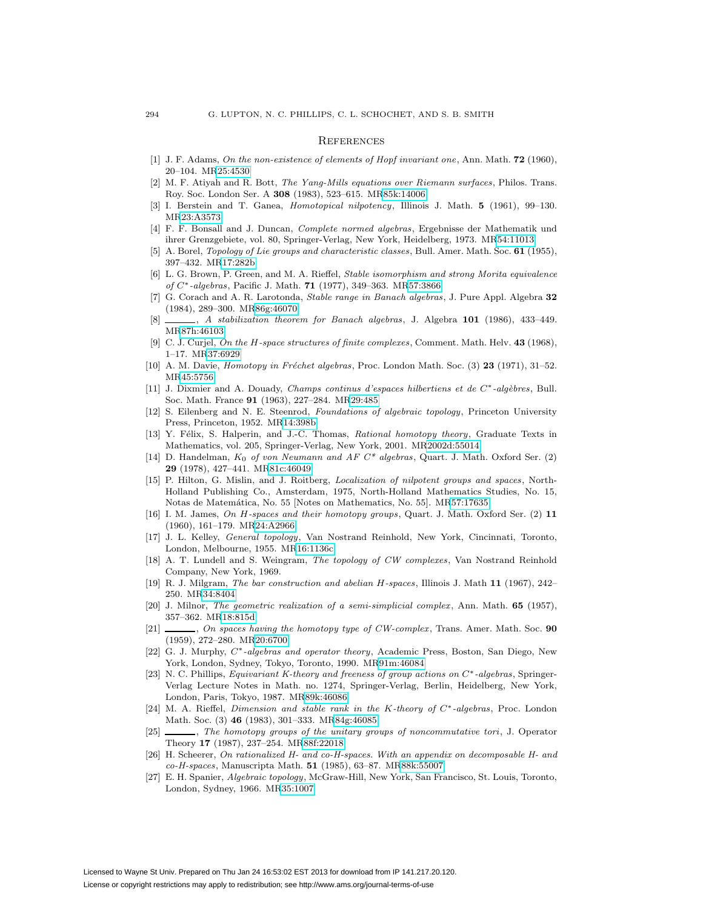#### **REFERENCES**

- <span id="page-27-22"></span>[1] J. F. Adams, On the non-existence of elements of Hopf invariant one, Ann. Math. **72** (1960), 20–104. M[R25:4530](http://www.ams.org/mathscinet-getitem?mr=25:4530)
- <span id="page-27-15"></span>[2] M. F. Atiyah and R. Bott, The Yang-Mills equations over Riemann surfaces, Philos. Trans. Roy. Soc. London Ser. A **308** (1983), 523–615. M[R85k:14006](http://www.ams.org/mathscinet-getitem?mr=85k:14006)
- <span id="page-27-13"></span>[3] I. Berstein and T. Ganea, Homotopical nilpotency, Illinois J. Math. **5** (1961), 99–130. M[R23:A3573](http://www.ams.org/mathscinet-getitem?mr=23:A3573)
- <span id="page-27-21"></span><span id="page-27-8"></span>[4] F. F. Bonsall and J. Duncan, Complete normed algebras, Ergebnisse der Mathematik und ihrer Grenzgebiete, vol. 80, Springer-Verlag, New York, Heidelberg, 1973. M[R54:11013](http://www.ams.org/mathscinet-getitem?mr=54:11013)
- [5] A. Borel, Topology of Lie groups and characteristic classes, Bull. Amer. Math. Soc. **61** (1955), 397–432. M[R17:282b](http://www.ams.org/mathscinet-getitem?mr=17:282b)
- <span id="page-27-2"></span>[6] L. G. Brown, P. Green, and M. A. Rieffel, Stable isomorphism and strong Morita equivalence of C∗-algebras, Pacific J. Math. **71** (1977), 349–363. M[R57:3866](http://www.ams.org/mathscinet-getitem?mr=57:3866)
- <span id="page-27-6"></span>[7] G. Corach and A. R. Larotonda, Stable range in Banach algebras, J. Pure Appl. Algebra **32** (1984), 289–300. M[R86g:46070](http://www.ams.org/mathscinet-getitem?mr=86g:46070)
- <span id="page-27-7"></span>[8] , A stabilization theorem for Banach algebras, J. Algebra **101** (1986), 433–449. M[R87h:46103](http://www.ams.org/mathscinet-getitem?mr=87h:46103)
- <span id="page-27-14"></span>[9] C. J. Curjel, On the H-space structures of finite complexes, Comment. Math. Helv. **43** (1968), 1–17. M[R37:6929](http://www.ams.org/mathscinet-getitem?mr=37:6929)
- <span id="page-27-5"></span>[10] A. M. Davie, *Homotopy in Fréchet algebras*, Proc. London Math. Soc. (3) **23** (1971), 31–52. M[R45:5756](http://www.ams.org/mathscinet-getitem?mr=45:5756)
- <span id="page-27-3"></span>[11] J. Dixmier and A. Douady, Champs continus d'espaces hilbertiens et de C∗-alg`ebres, Bull. Soc. Math. France **91** (1963), 227–284. M[R29:485](http://www.ams.org/mathscinet-getitem?mr=29:485)
- <span id="page-27-26"></span>[12] S. Eilenberg and N. E. Steenrod, Foundations of algebraic topology, Princeton University Press, Princeton, 1952. M[R14:398b](http://www.ams.org/mathscinet-getitem?mr=14:398b)
- <span id="page-27-20"></span>[13] Y. Félix, S. Halperin, and J.-C. Thomas, Rational homotopy theory, Graduate Texts in Mathematics, vol. 205, Springer-Verlag, New York, 2001. M[R2002d:55014](http://www.ams.org/mathscinet-getitem?mr=2002d:55014)
- <span id="page-27-23"></span>[14] D. Handelman,  $K_0$  of von Neumann and AF  $C^*$  algebras, Quart. J. Math. Oxford Ser. (2) **29** (1978), 427–441. M[R81c:46049](http://www.ams.org/mathscinet-getitem?mr=81c:46049)
- <span id="page-27-17"></span>[15] P. Hilton, G. Mislin, and J. Roitberg, Localization of nilpotent groups and spaces, North-Holland Publishing Co., Amsterdam, 1975, North-Holland Mathematics Studies, No. 15, Notas de Matemática, No. 55 [Notes on Mathematics, No. 55]. M[R57:17635](http://www.ams.org/mathscinet-getitem?mr=57:17635)
- <span id="page-27-12"></span>[16] I. M. James, On H-spaces and their homotopy groups, Quart. J. Math. Oxford Ser. (2) **11** (1960), 161–179. M[R24:A2966](http://www.ams.org/mathscinet-getitem?mr=24:A2966)
- <span id="page-27-25"></span>[17] J. L. Kelley, General topology, Van Nostrand Reinhold, New York, Cincinnati, Toronto, London, Melbourne, 1955. M[R16:1136c](http://www.ams.org/mathscinet-getitem?mr=16:1136c)
- <span id="page-27-11"></span>[18] A. T. Lundell and S. Weingram, The topology of CW complexes, Van Nostrand Reinhold Company, New York, 1969.
- <span id="page-27-1"></span>[19] R. J. Milgram, The bar construction and abelian H-spaces, Illinois J. Math **11** (1967), 242– 250. M[R34:8404](http://www.ams.org/mathscinet-getitem?mr=34:8404)
- <span id="page-27-0"></span>[20] J. Milnor, The geometric realization of a semi-simplicial complex, Ann. Math. **65** (1957), 357–362. M[R18:815d](http://www.ams.org/mathscinet-getitem?mr=18:815d)
- <span id="page-27-16"></span>[21] , On spaces having the homotopy type of CW-complex, Trans. Amer. Math. Soc. **90** (1959), 272–280. M[R20:6700](http://www.ams.org/mathscinet-getitem?mr=20:6700)
- <span id="page-27-9"></span>[22] G. J. Murphy, C∗-algebras and operator theory, Academic Press, Boston, San Diego, New York, London, Sydney, Tokyo, Toronto, 1990. M[R91m:46084](http://www.ams.org/mathscinet-getitem?mr=91m:46084)
- <span id="page-27-24"></span>[23] N. C. Phillips, Equivariant K-theory and freeness of group actions on C∗-algebras, Springer-Verlag Lecture Notes in Math. no. 1274, Springer-Verlag, Berlin, Heidelberg, New York, London, Paris, Tokyo, 1987. M[R89k:46086](http://www.ams.org/mathscinet-getitem?mr=89k:46086)
- <span id="page-27-10"></span>[24] M. A. Rieffel, Dimension and stable rank in the K-theory of C∗-algebras, Proc. London Math. Soc. (3) **46** (1983), 301–333. M[R84g:46085](http://www.ams.org/mathscinet-getitem?mr=84g:46085)
- <span id="page-27-4"></span>[25]  $\_\_\_\_\_\_\$ The homotopy groups of the unitary groups of noncommutative tori, J. Operator Theory **17** (1987), 237–254. M[R88f:22018](http://www.ams.org/mathscinet-getitem?mr=88f:22018)
- <span id="page-27-19"></span>[26] H. Scheerer, On rationalized H- and co-H-spaces. With an appendix on decomposable H- and co-H-spaces, Manuscripta Math. **51** (1985), 63–87. M[R88k:55007](http://www.ams.org/mathscinet-getitem?mr=88k:55007)
- <span id="page-27-18"></span>[27] E. H. Spanier, Algebraic topology, McGraw-Hill, New York, San Francisco, St. Louis, Toronto, London, Sydney, 1966. M[R35:1007](http://www.ams.org/mathscinet-getitem?mr=35:1007)